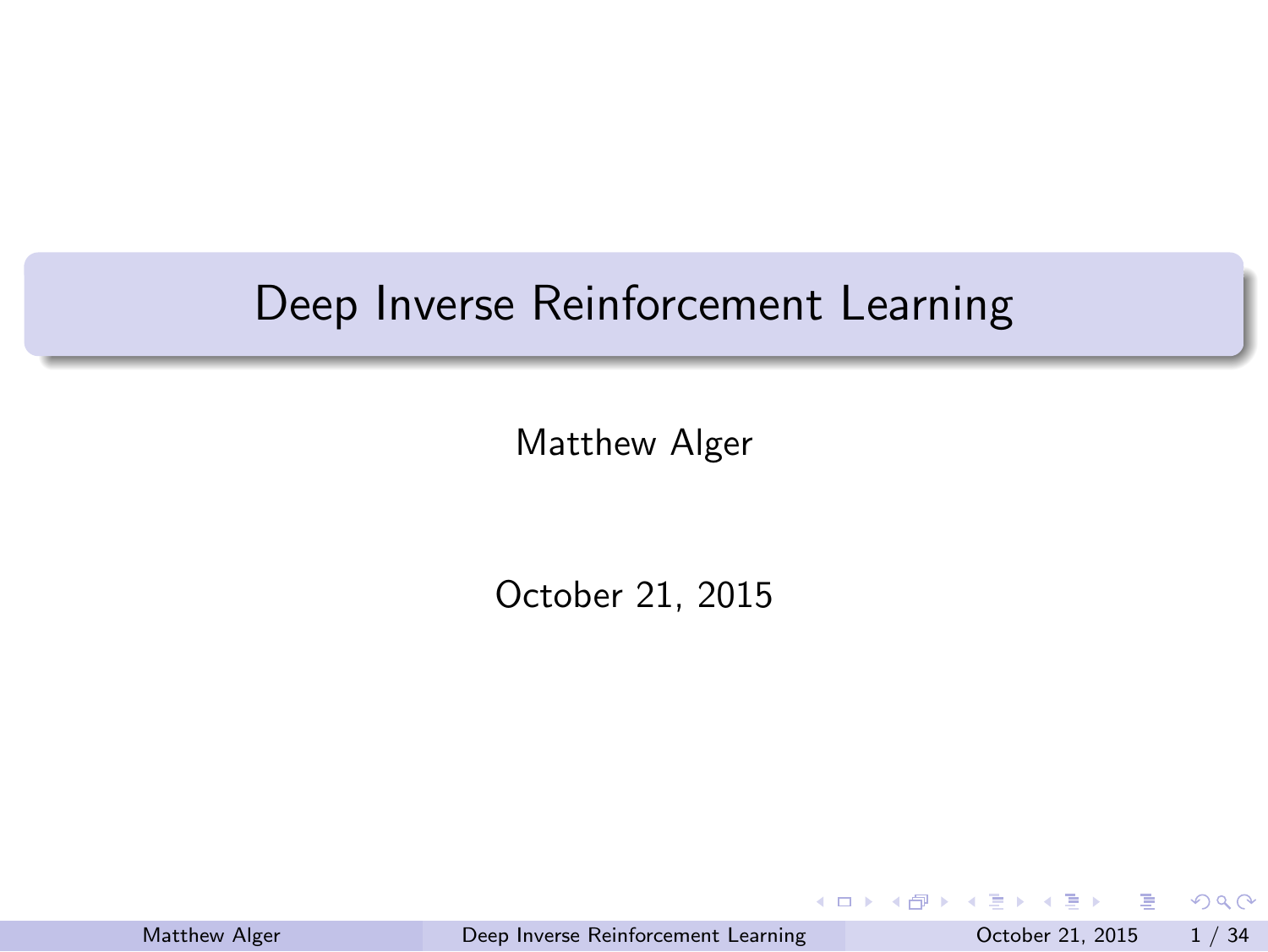Deep Inverse Reinforcement Learning

Matthew Alger

October 21, 2015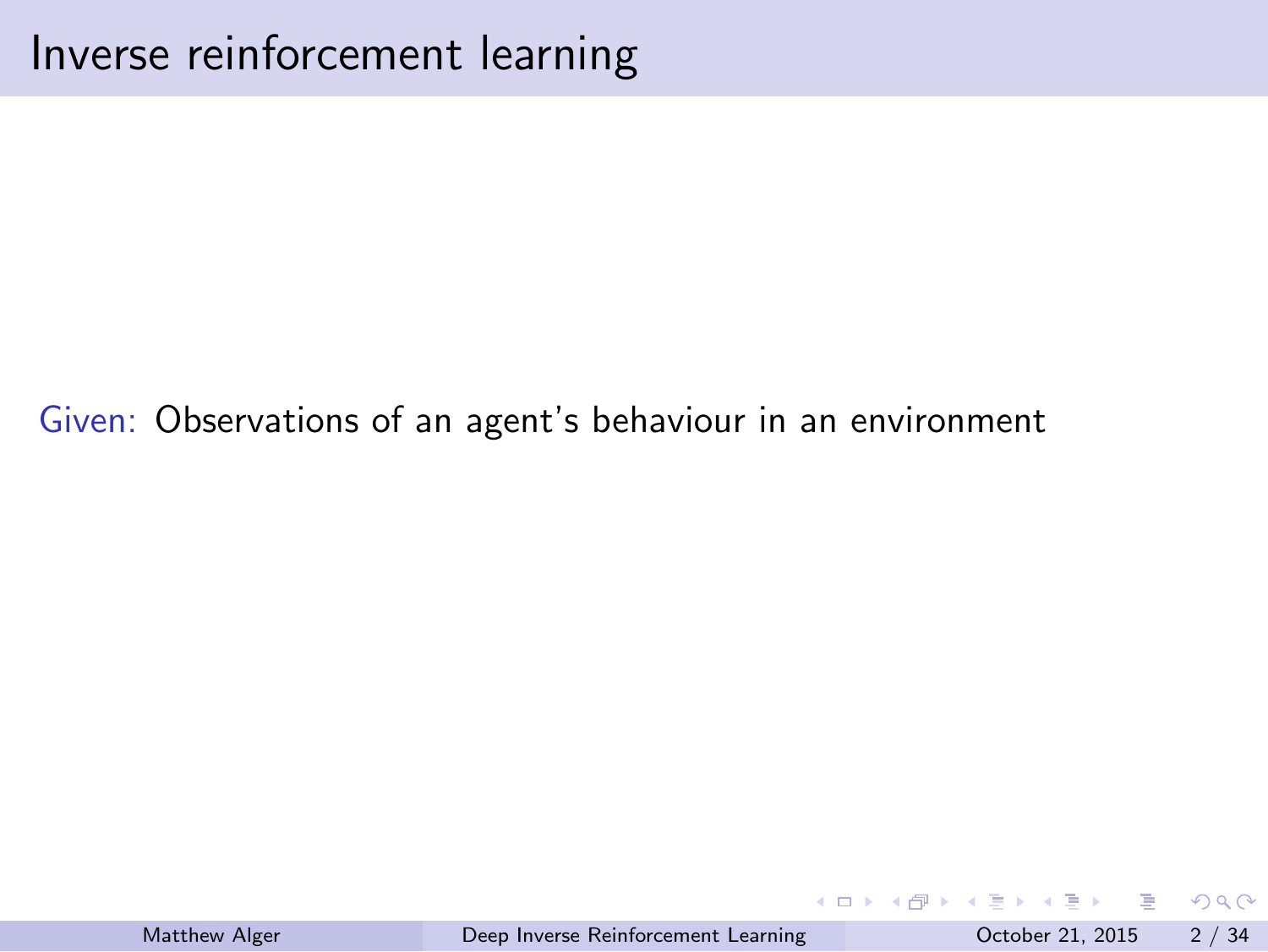Inverse reinforcement learning

Given: Observations of an agent's behaviour in an environment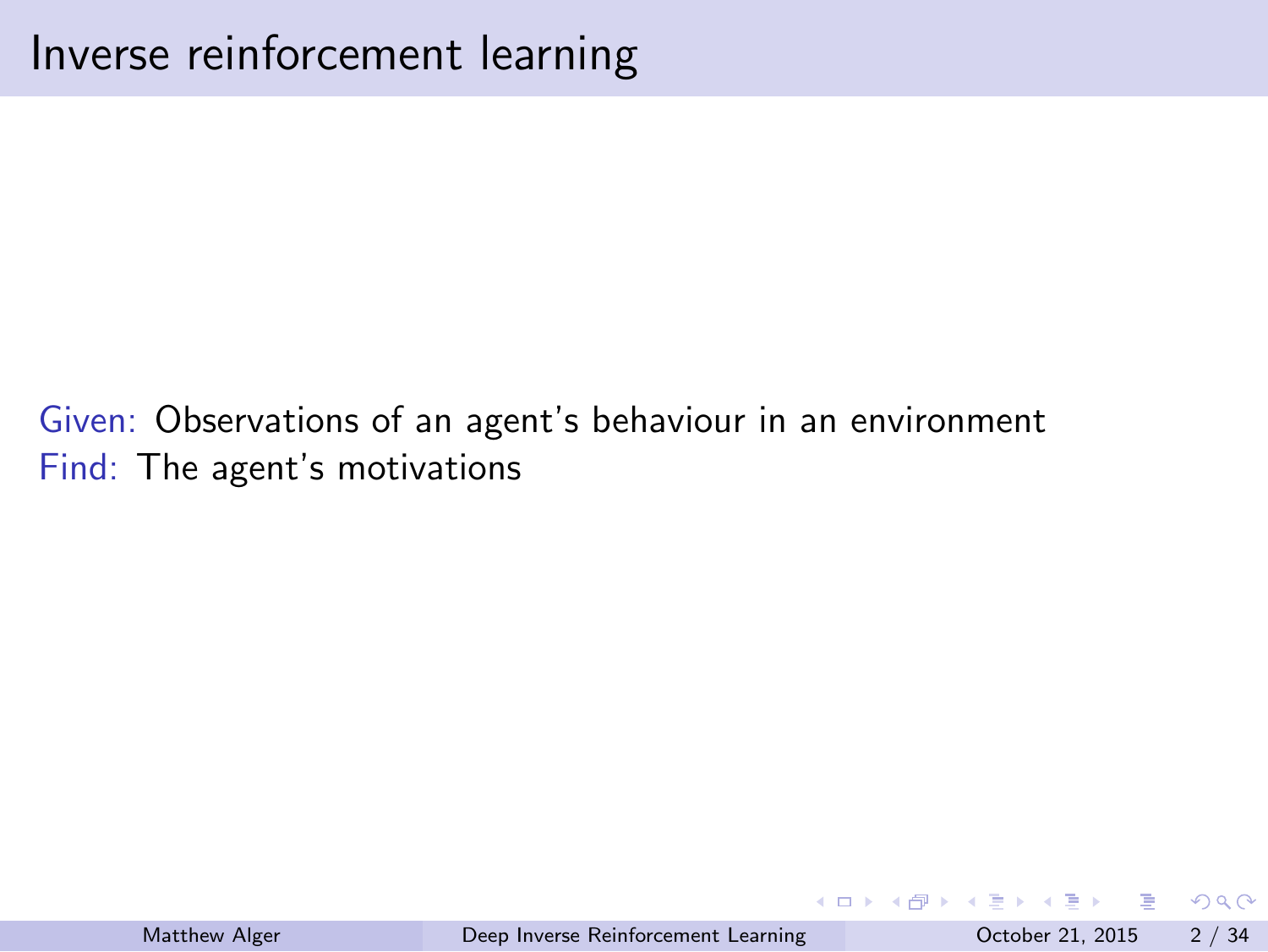Inverse reinforcement learning

Given: Observations of an agent's behaviour in an environment Find: The agent's motivations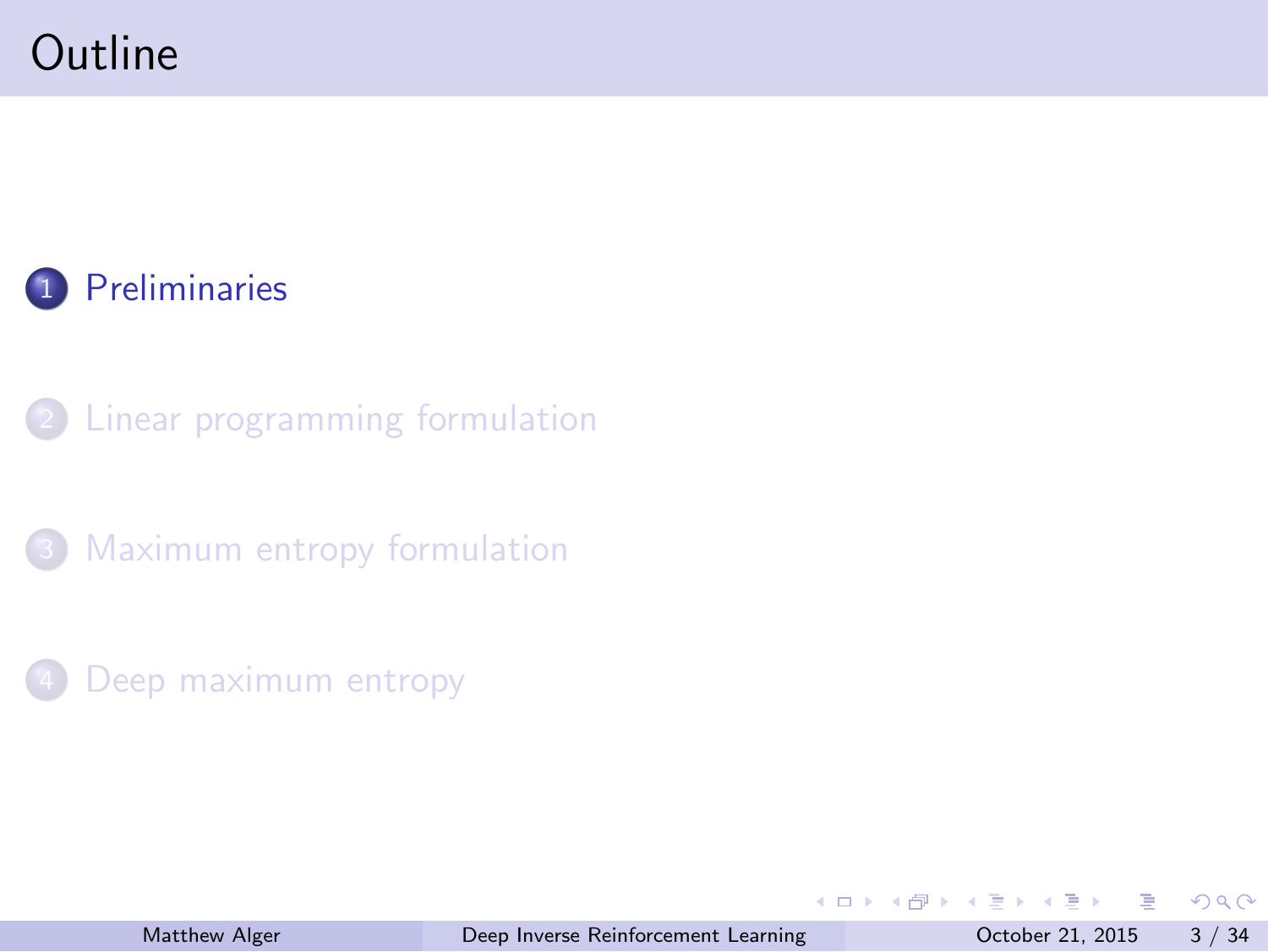#### **Outline**



2 Linear programming formulation

<sup>3</sup> Maximum entropy formulation

4 Deep maximum entropy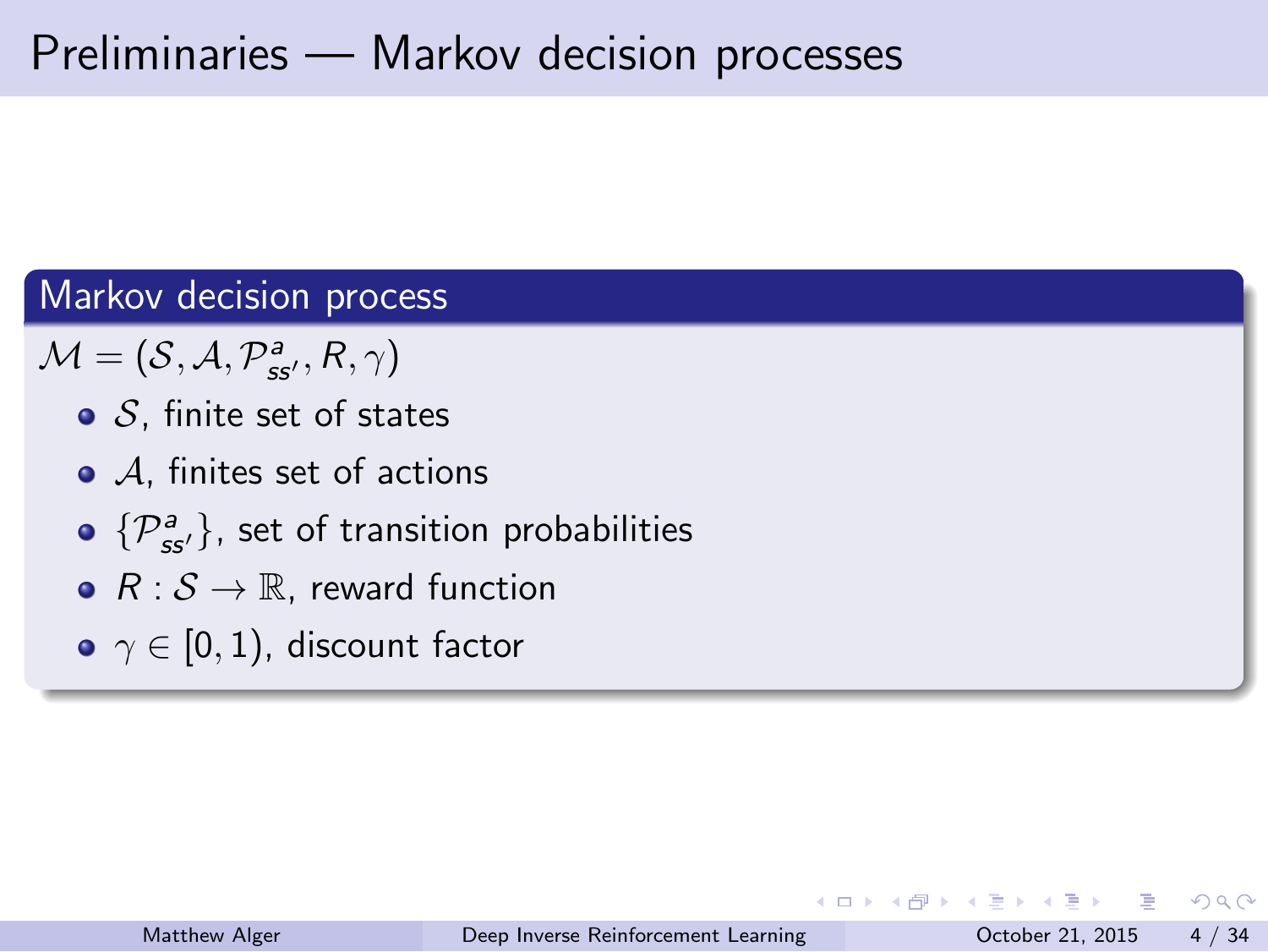#### Preliminaries — Markov decision processes

#### Markov decision process

 $\mathcal{M} = (\mathcal{S}, \mathcal{A}, \mathcal{P}_{ss'}^{a}, R, \gamma)$ 

- *S*, finite set of states
- *A*, finites set of actions
- *{P<sup>a</sup> ss′}*, set of transition probabilities
- *R* : *S →* R, reward function
- *γ ∈* [0*,* 1), discount factor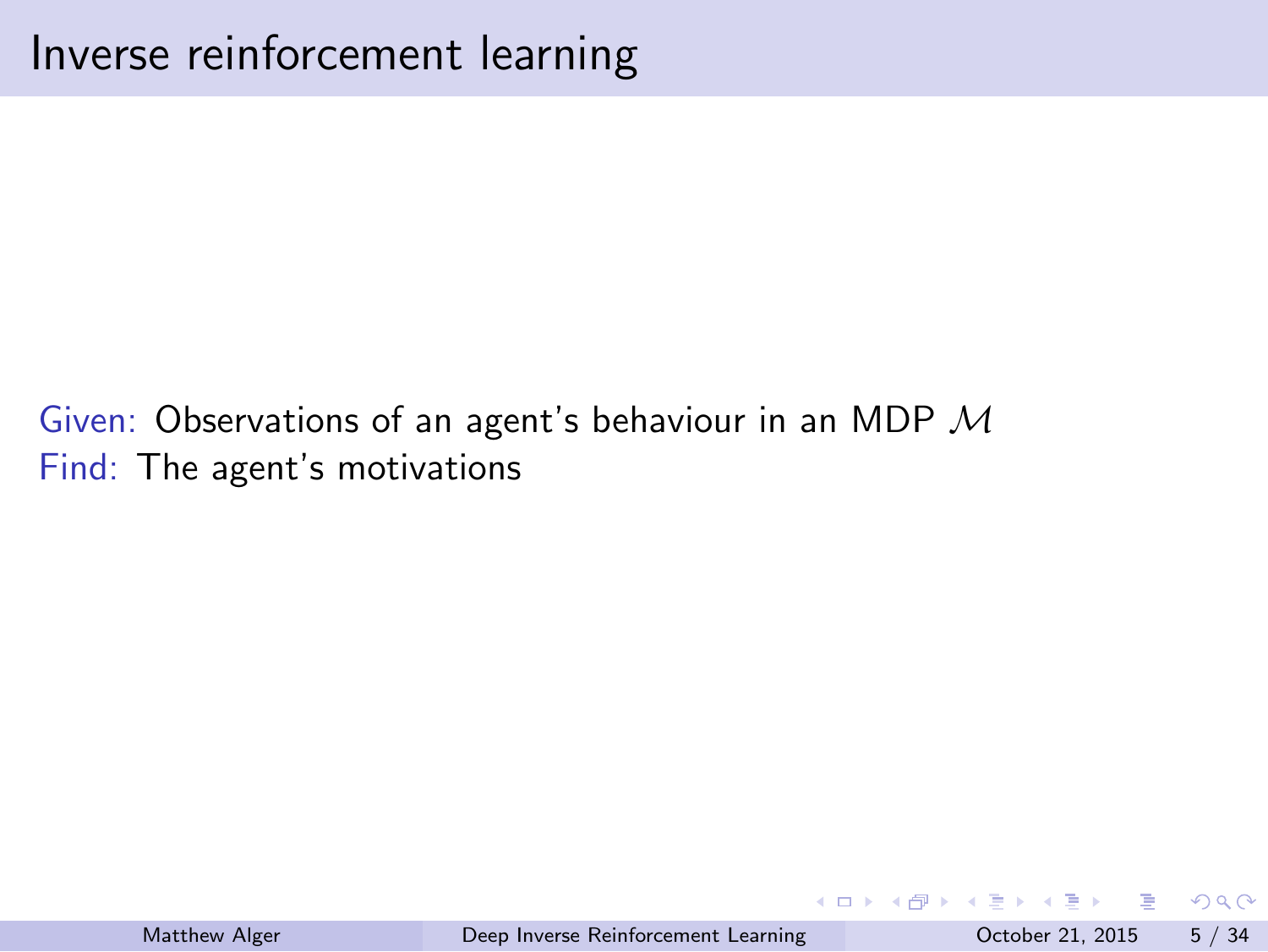Inverse reinforcement learning

Given: Observations of an agent's behaviour in an MDP *M* Find: The agent's motivations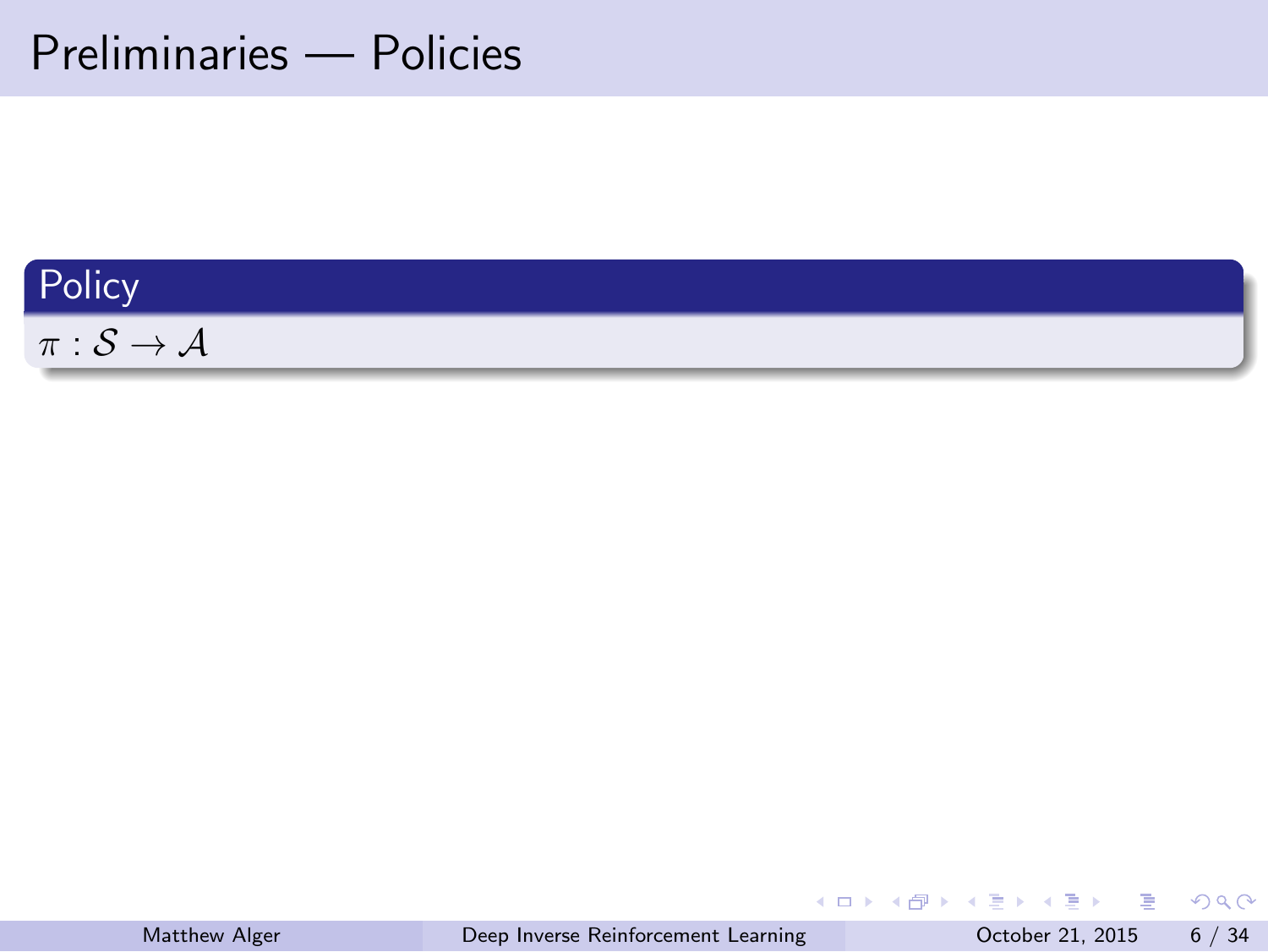Preliminaries — Policies

| Policy                                     |
|--------------------------------------------|
| $\pi: \mathcal{S} \rightarrow \mathcal{A}$ |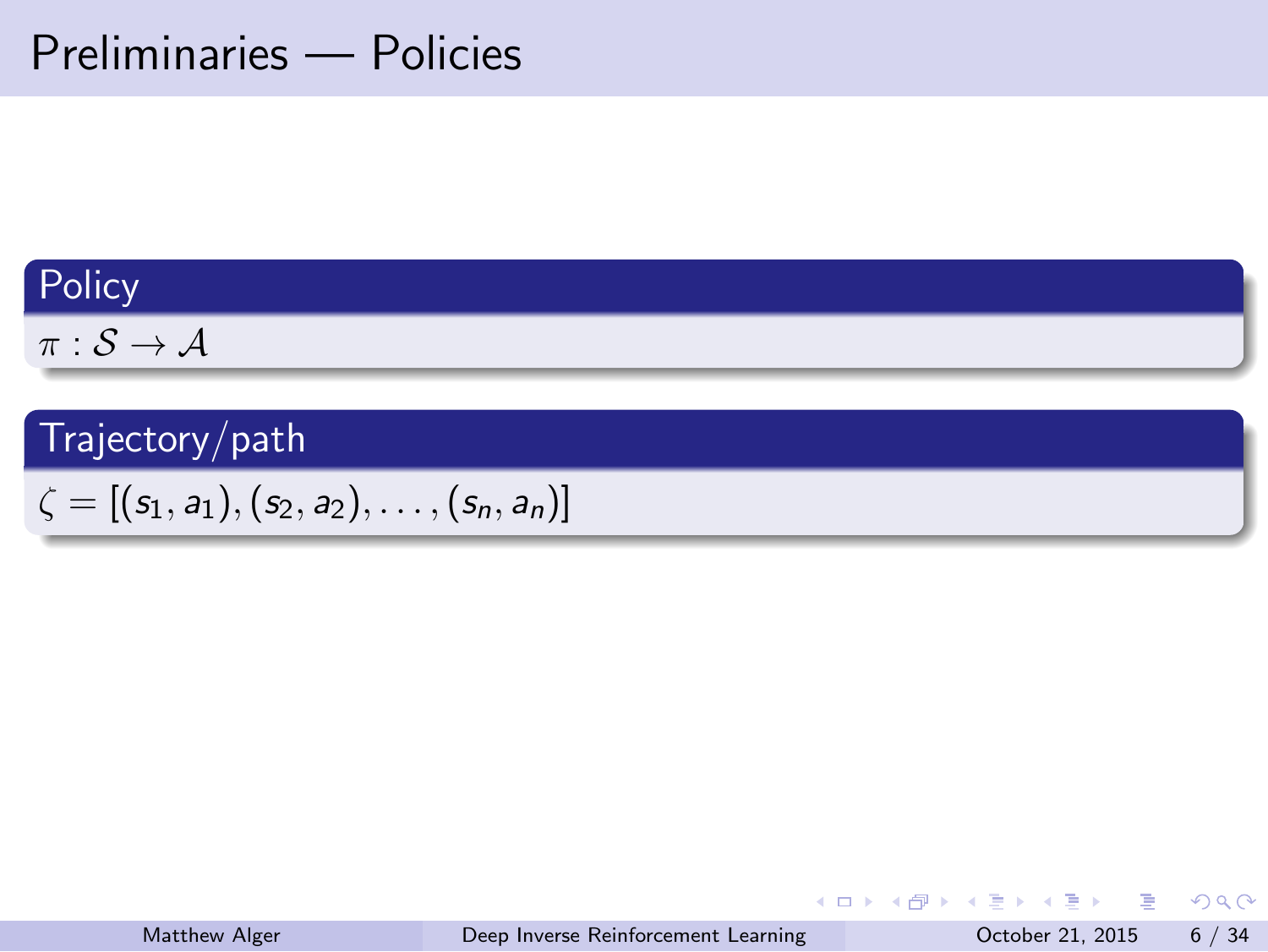#### Preliminaries — Policies

**Policy** 

*π* : *S → A*

Trajectory/path

 $\zeta = [(s_1, a_1), (s_2, a_2), \ldots, (s_n, a_n)]$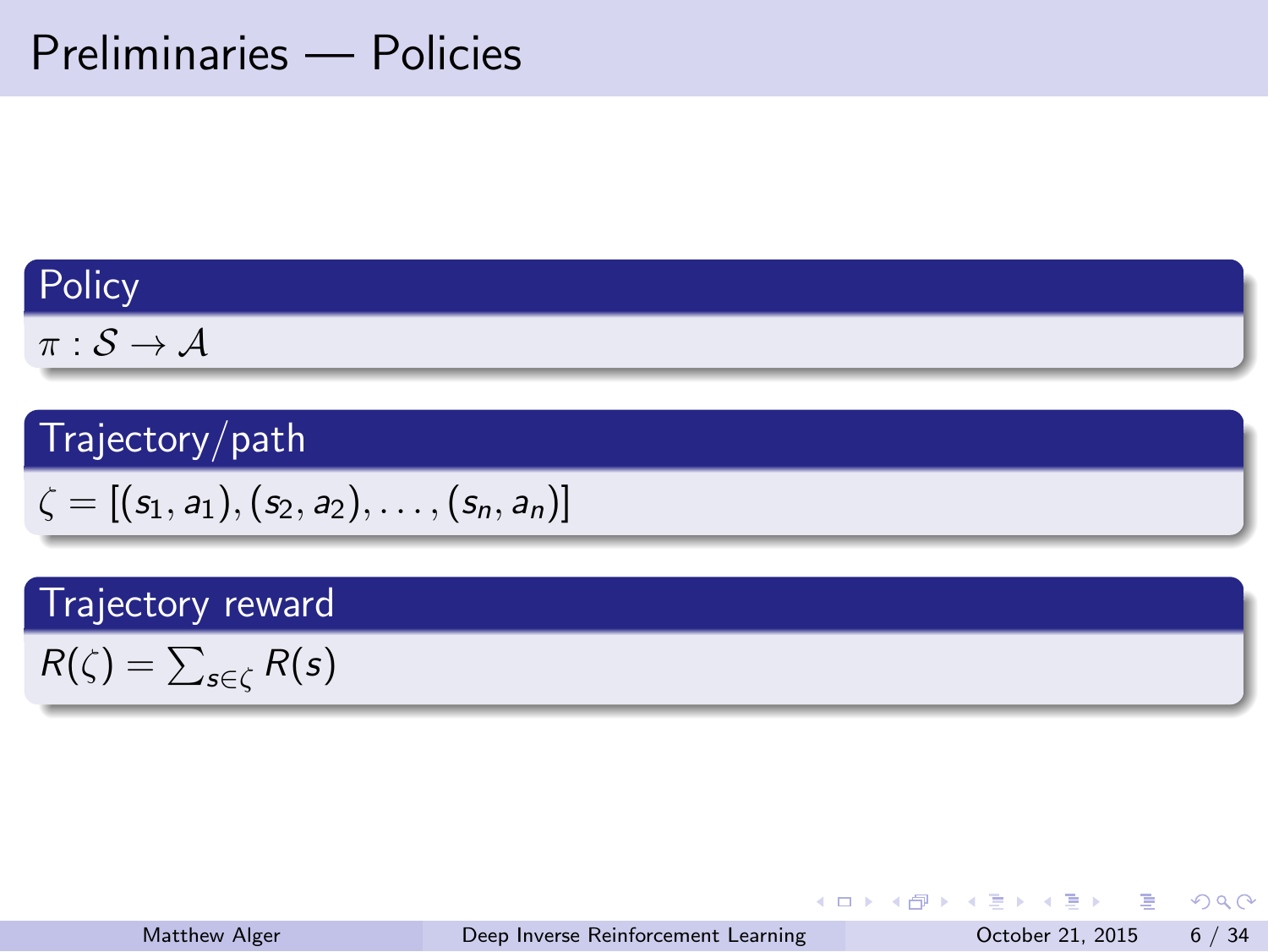#### Preliminaries — Policies

| olic |  |
|------|--|
|      |  |

 $\pi : \mathcal{S} \rightarrow \mathcal{A}$ 

Trajectory/path

 $\zeta = [(s_1, a_1), (s_2, a_2), \ldots, (s_n, a_n)]$ 

Trajectory reward

 $R(\zeta) = \sum_{s \in \zeta} R(s)$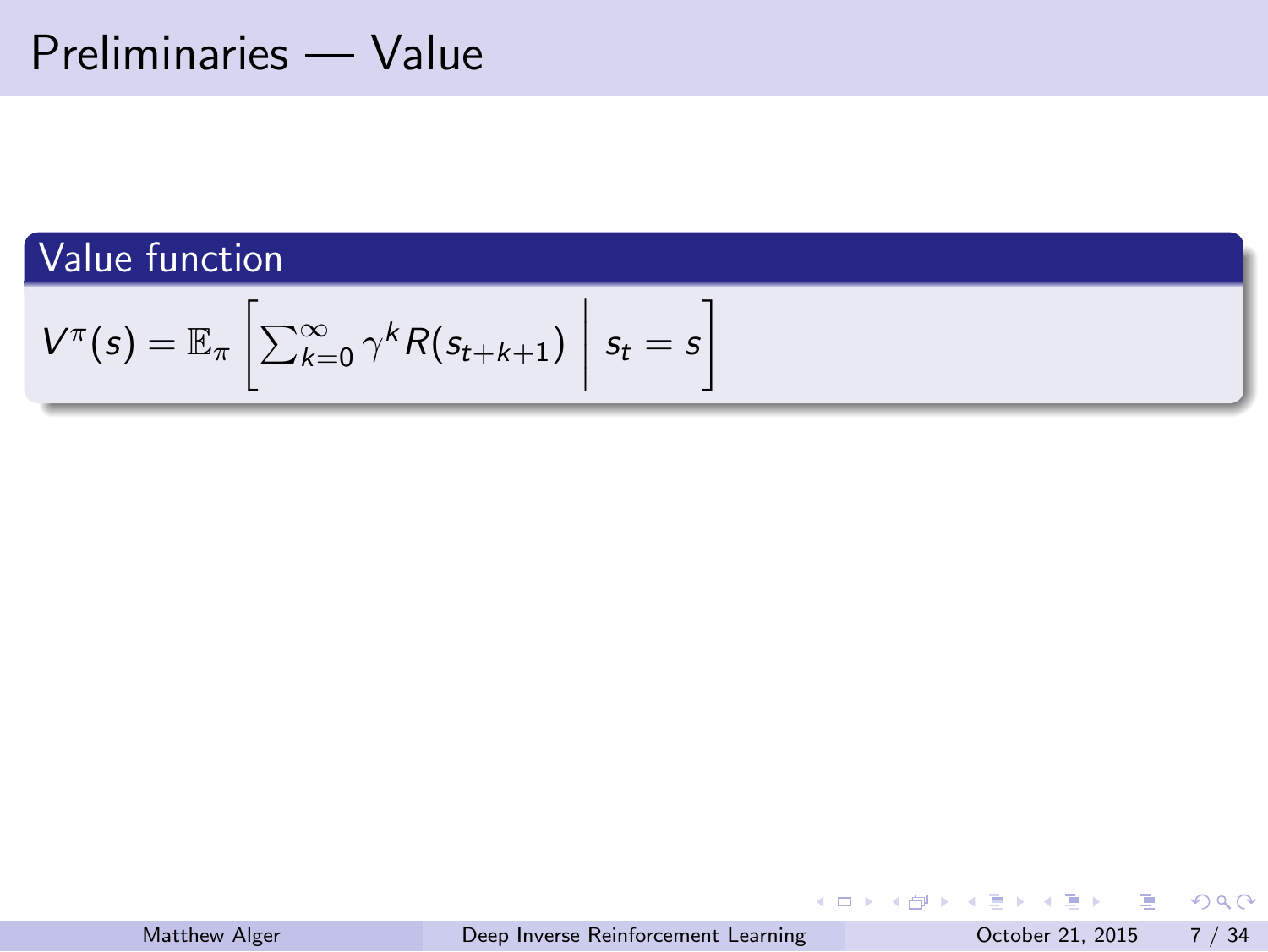### Preliminaries — Value

Value function  $V^{\pi}(s) = \mathbb{E}_{\pi} \left[ \sum_{k=0}^{\infty} \gamma^{k} R(s_{t+k+1}) \right]$  $s_t = s$ ]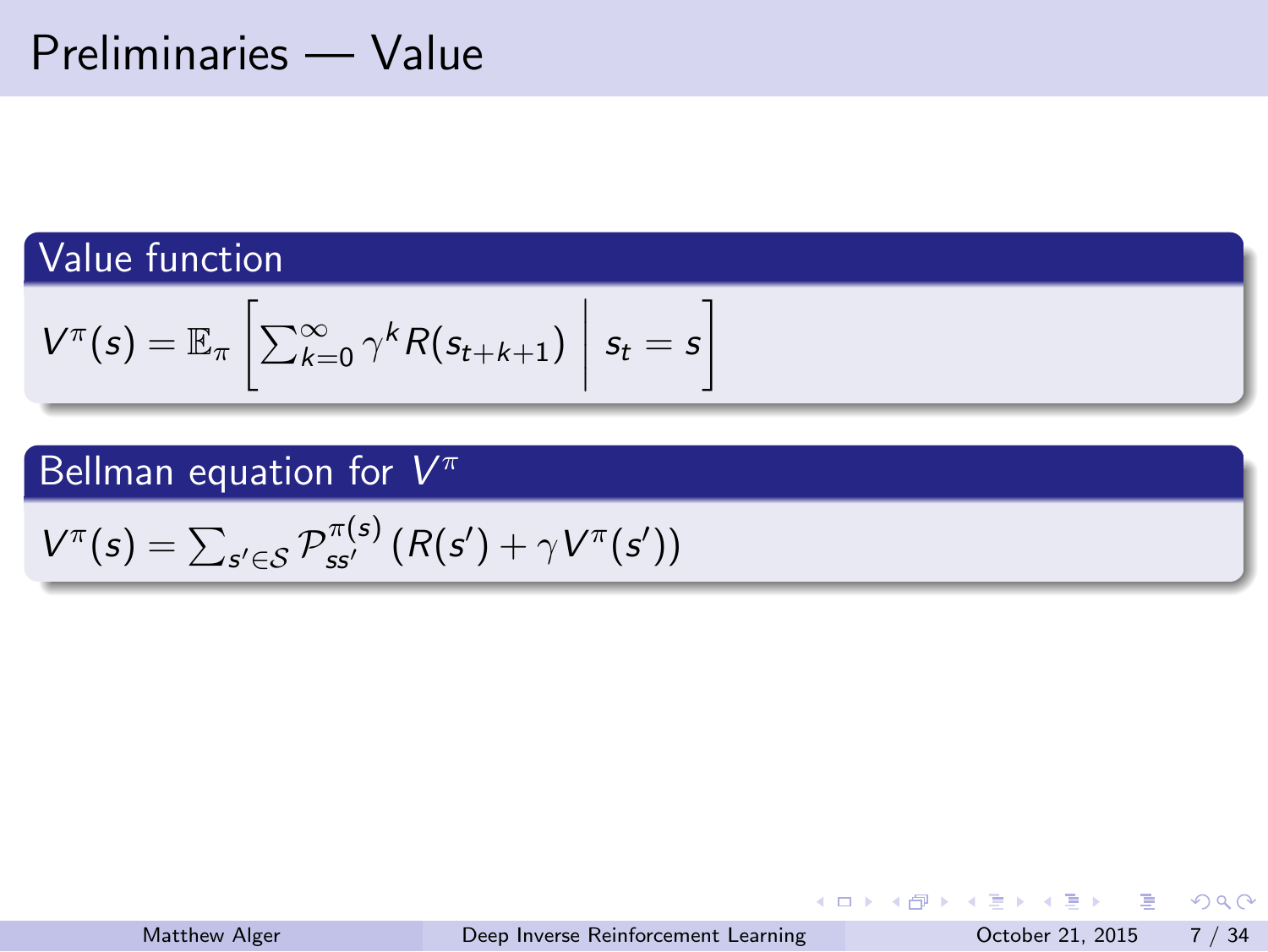# Preliminaries — Value

Value function

$$
V^{\pi}(s) = \mathbb{E}_{\pi}\left[\sum_{k=0}^{\infty} \gamma^{k} R(s_{t+k+1}) \middle| s_t = s\right]
$$

Bellman equation for *V π*

 $V^{\pi}(s) = \sum_{s' \in S} \mathcal{P}_{ss'}^{\pi(s)}(R(s') + \gamma V^{\pi}(s'))$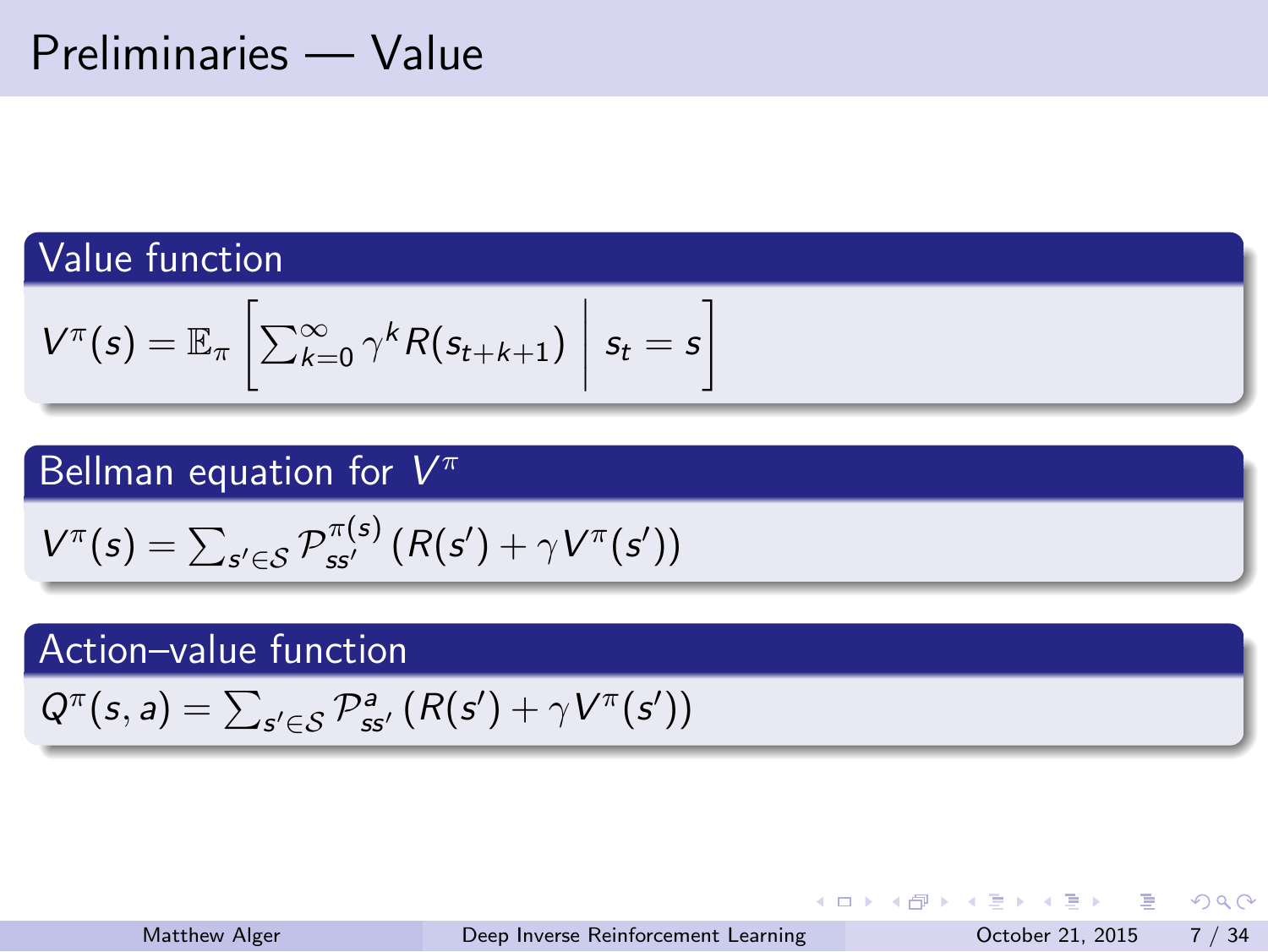### Preliminaries — Value

Value function

Value function

\n
$$
V^{\pi}(s) = \mathbb{E}_{\pi} \left[ \sum_{k=0}^{\infty} \gamma^{k} R(s_{t+k+1}) \middle| s_{t} = s \right]
$$
\nBellman equation for  $V^{\pi}$ 

\n
$$
V^{\pi}(s) = \sum_{s' \in \mathcal{S}} P_{ss'}^{\pi(s)} (R(s') + \gamma V^{\pi}(s'))
$$
\nAction-value function

\n
$$
Q^{\pi}(s, a) = \sum_{s' \in \mathcal{S}} P_{ss'}^{a} (R(s') + \gamma V^{\pi}(s'))
$$

| Matthew Alger | Deep Inverse Reinforcement Learning |  |  |  | October 21, 2015 7 / 34                  |
|---------------|-------------------------------------|--|--|--|------------------------------------------|
|               |                                     |  |  |  | - K □ ▶ K @ ▶ K 로 ▶ K 로 ▶ - 로 - K 9 Q (N |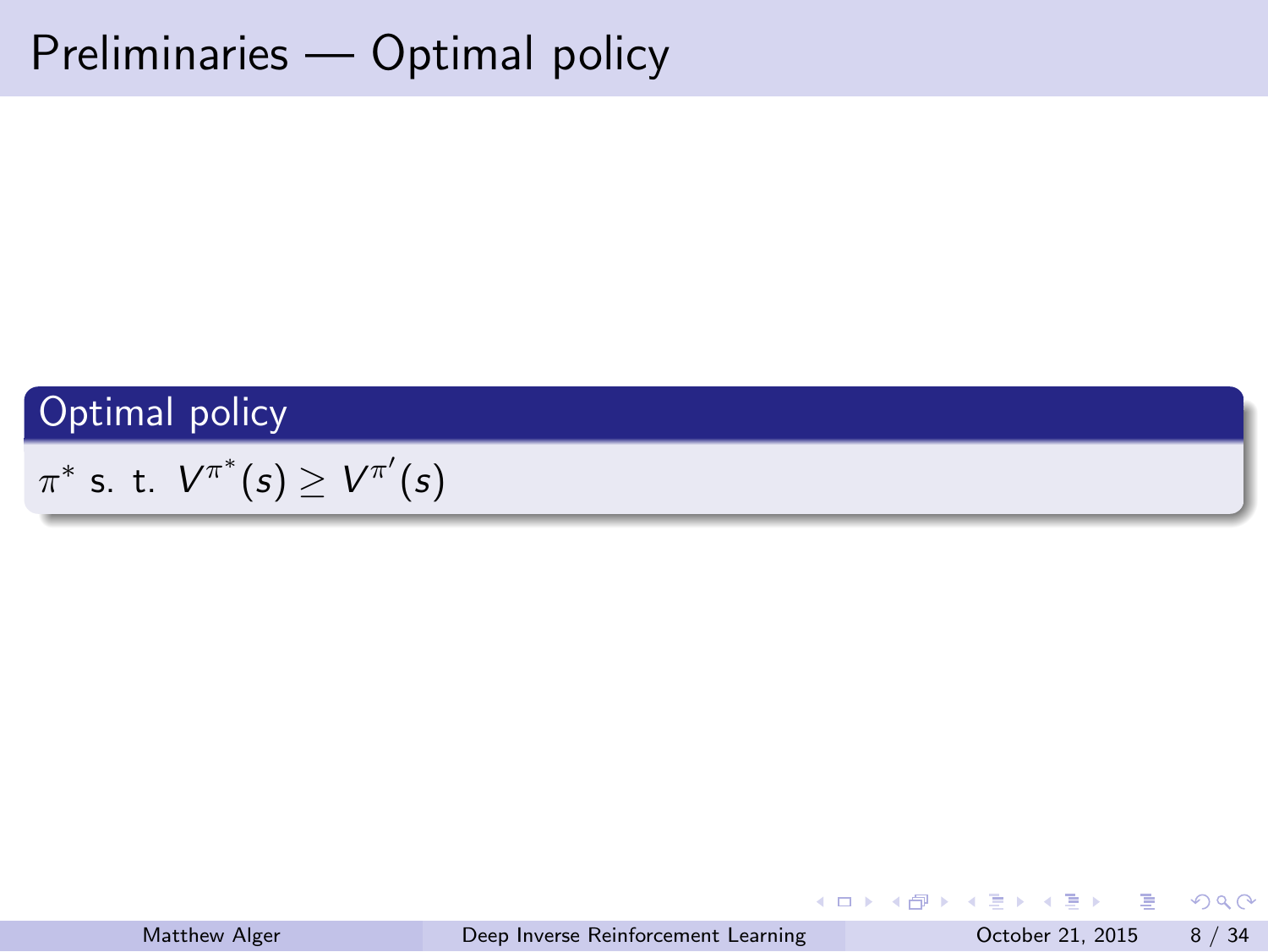Preliminaries — Optimal policy

Optimal policy

*π ∗* s. t. *V π ∗* (*s*) *≥ V π ′* (*s*)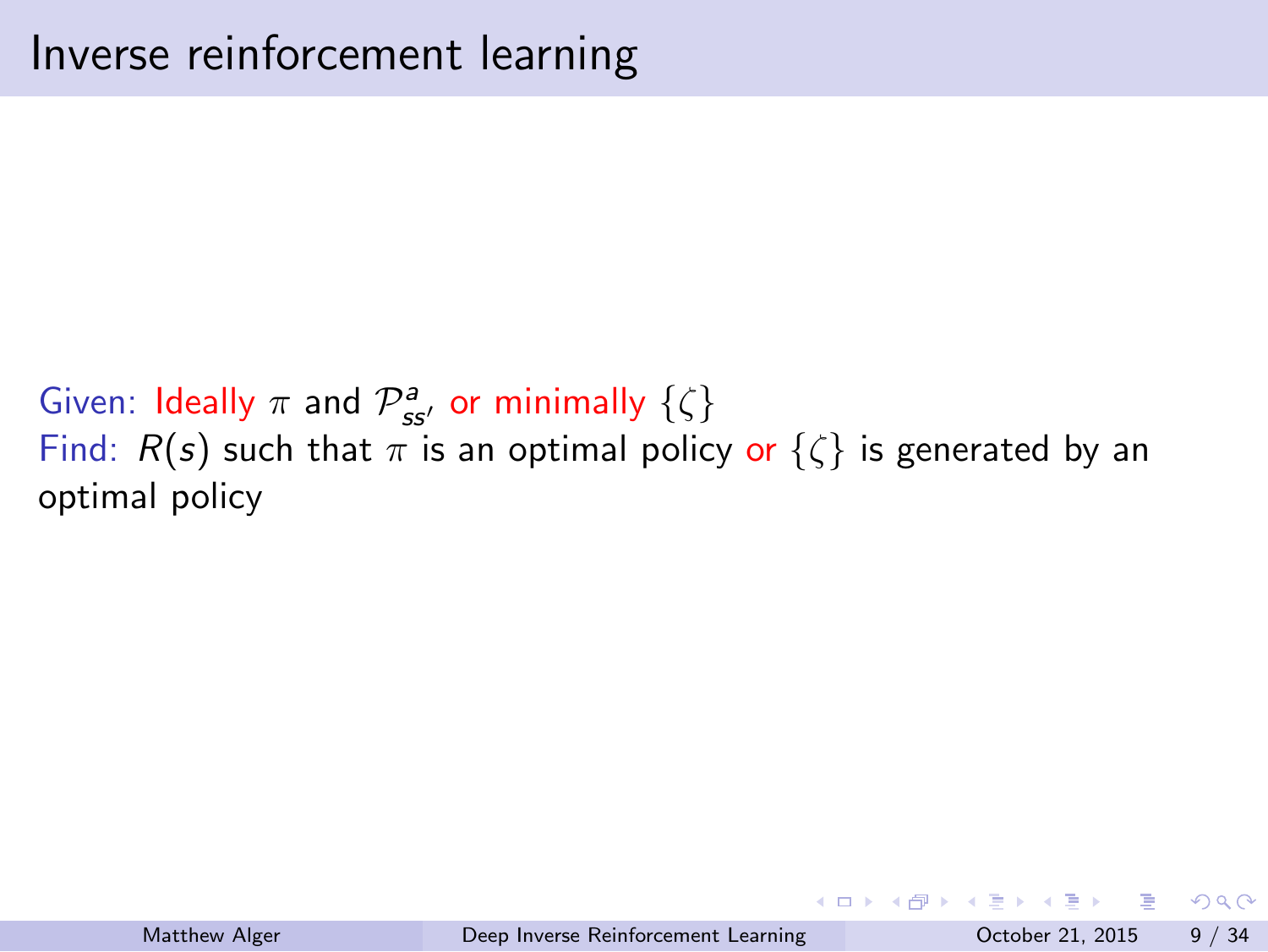Inverse reinforcement learning

Given: Ideally  $\pi$  and  $\mathcal{P}_{ss'}^a$  or minimally  $\{\zeta\}$ Find:  $R(s)$  such that  $\pi$  is an optimal policy or  $\{\zeta\}$  is generated by an optimal policy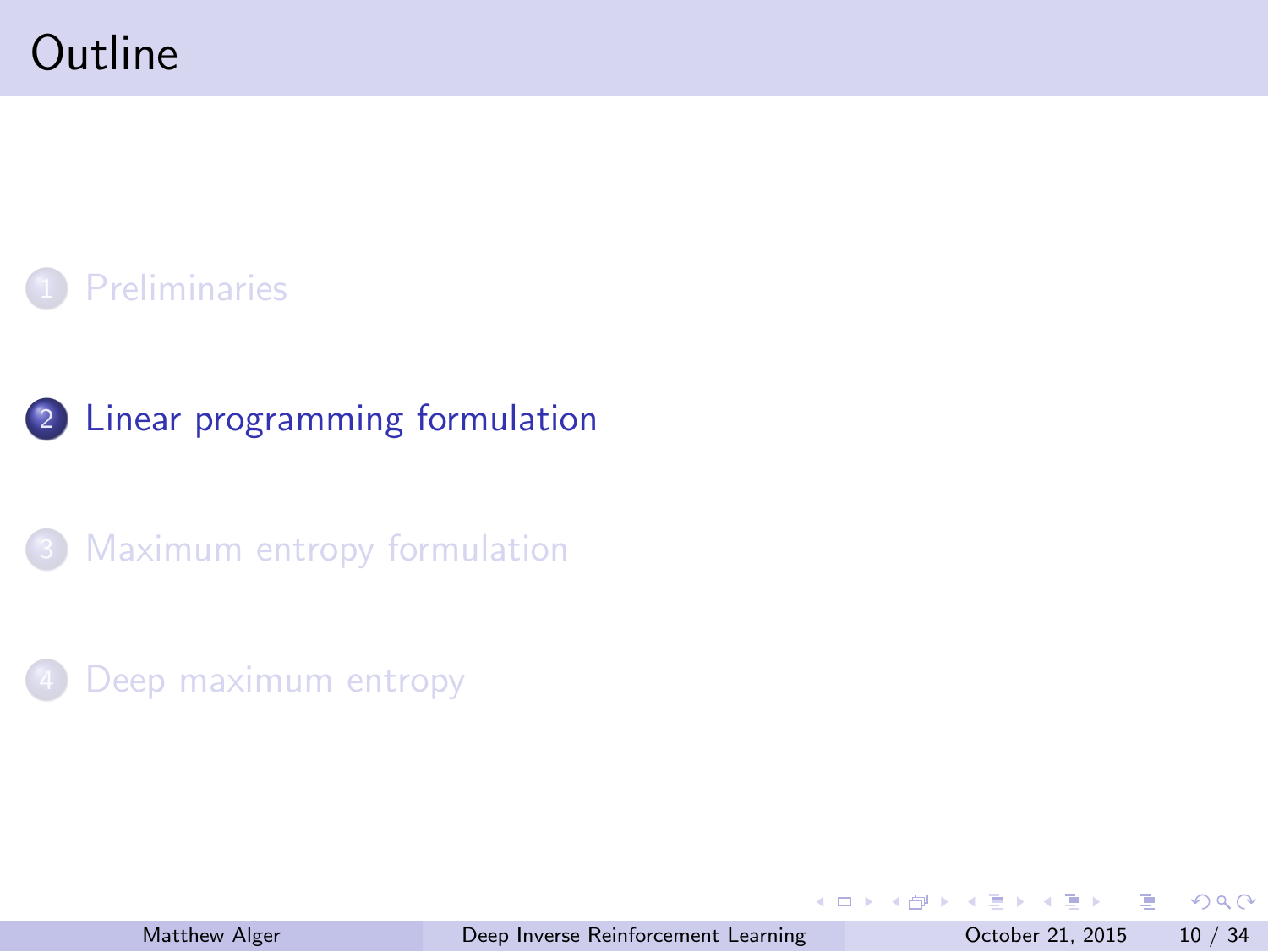#### **Outline**

1 Preliminaries

2 Linear programming formulation

<sup>3</sup> Maximum entropy formulation

4 Deep maximum entropy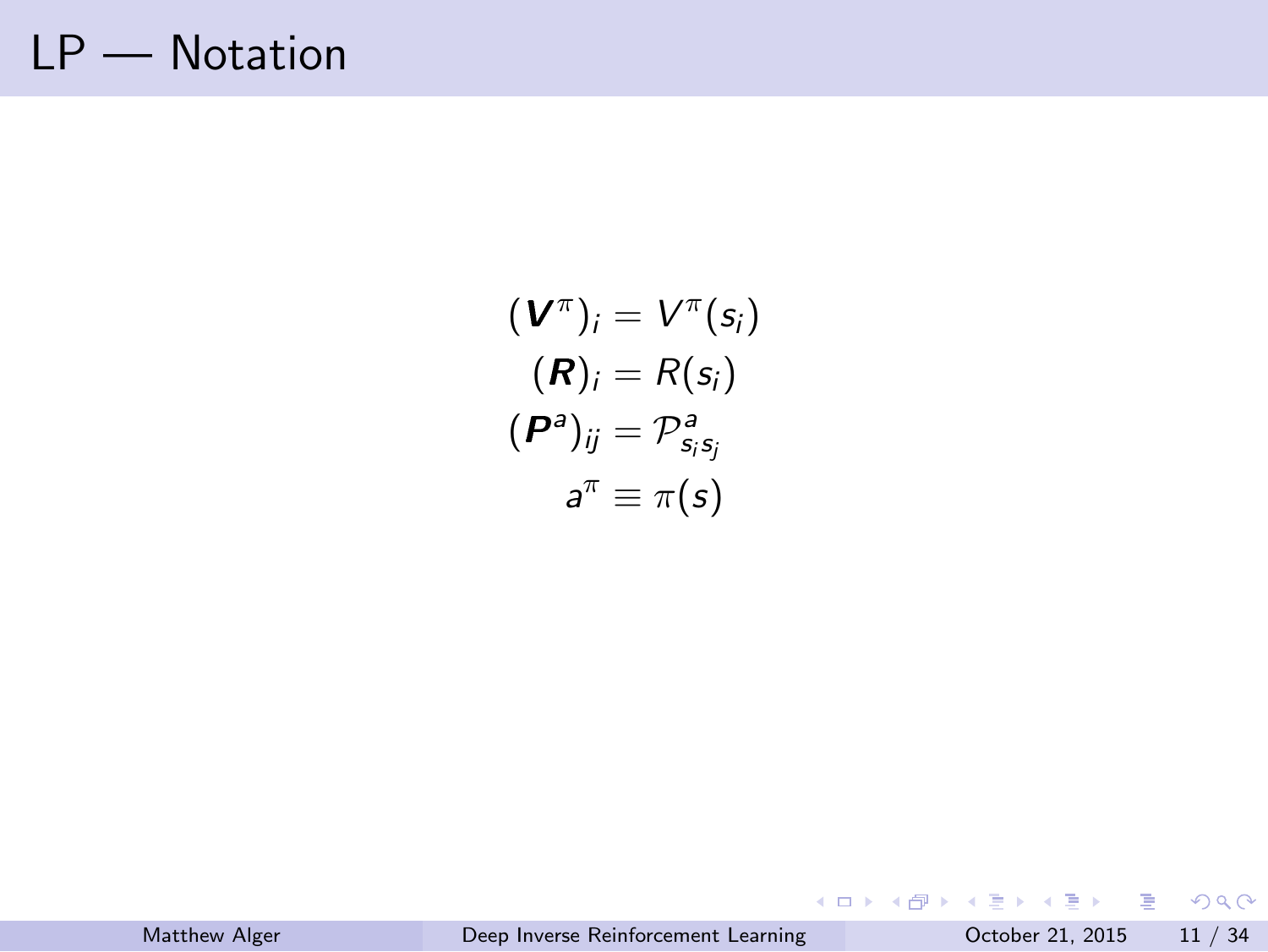# LP — Notation

$$
(\mathbf{V}^{\pi})_i = V^{\pi}(s_i)
$$

$$
(\mathbf{R})_i = R(s_i)
$$

$$
(\mathbf{P}^a)_{ij} = P^a_{s_i s_j}
$$

$$
a^{\pi} \equiv \pi(s)
$$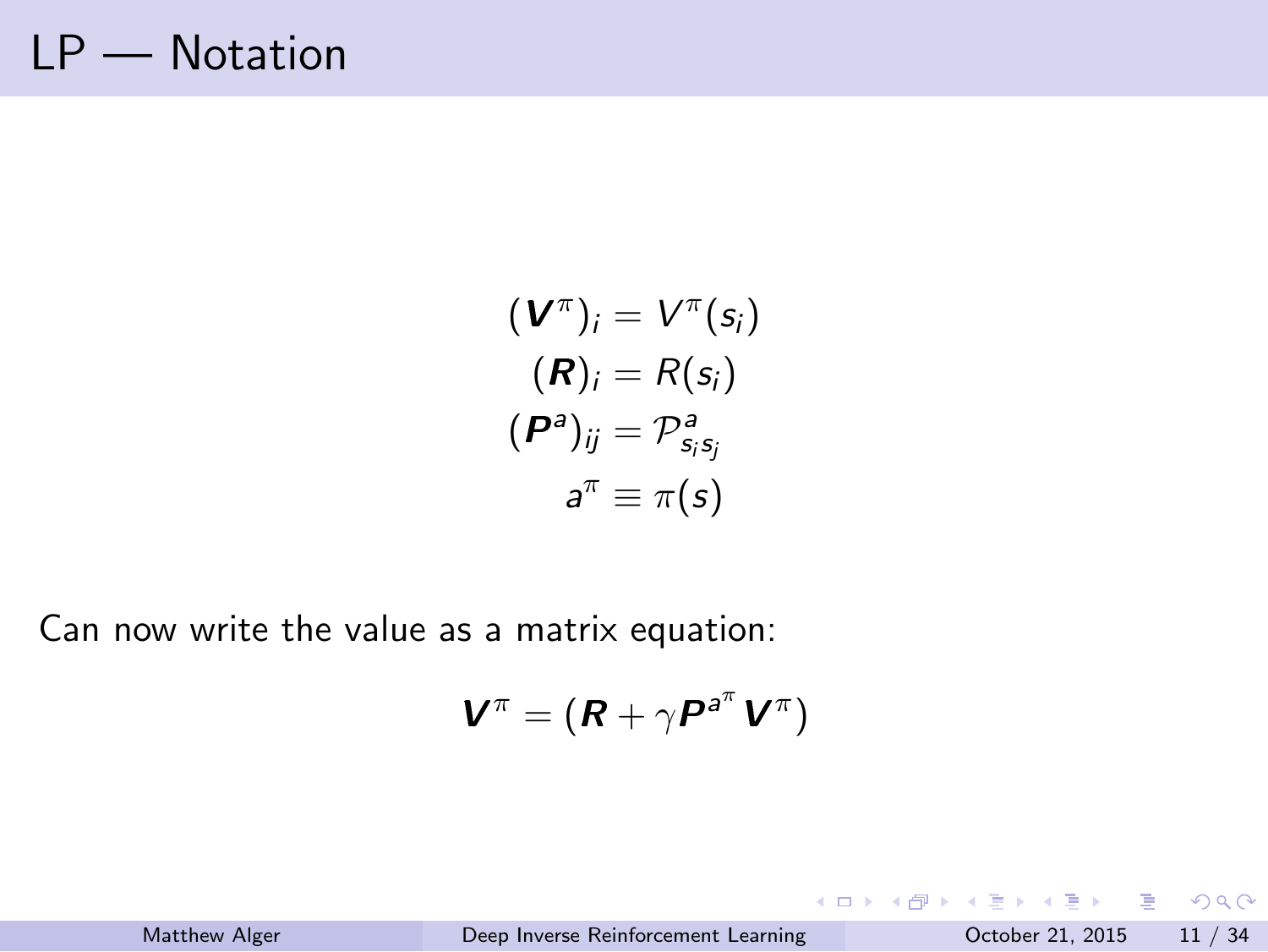# LP — Notation

Matthew Alger

$$
(\mathbf{V}^{\pi})_i = V^{\pi}(s_i)
$$

$$
(\mathbf{R})_i = R(s_i)
$$

$$
(\mathbf{P}^a)_{ij} = \mathcal{P}^a_{s_i s_j}
$$

$$
a^{\pi} \equiv \pi(s)
$$

Can now write the value as a matrix equation:

$$
\bm{V}^{\pi} = (\bm{R} + \gamma \bm{P}^{a^{\pi}} \bm{V}^{\pi})
$$

| Deep Inverse Reinforcement Learning<br>October 21, 2015 11 / 34 |  |
|-----------------------------------------------------------------|--|
|                                                                 |  |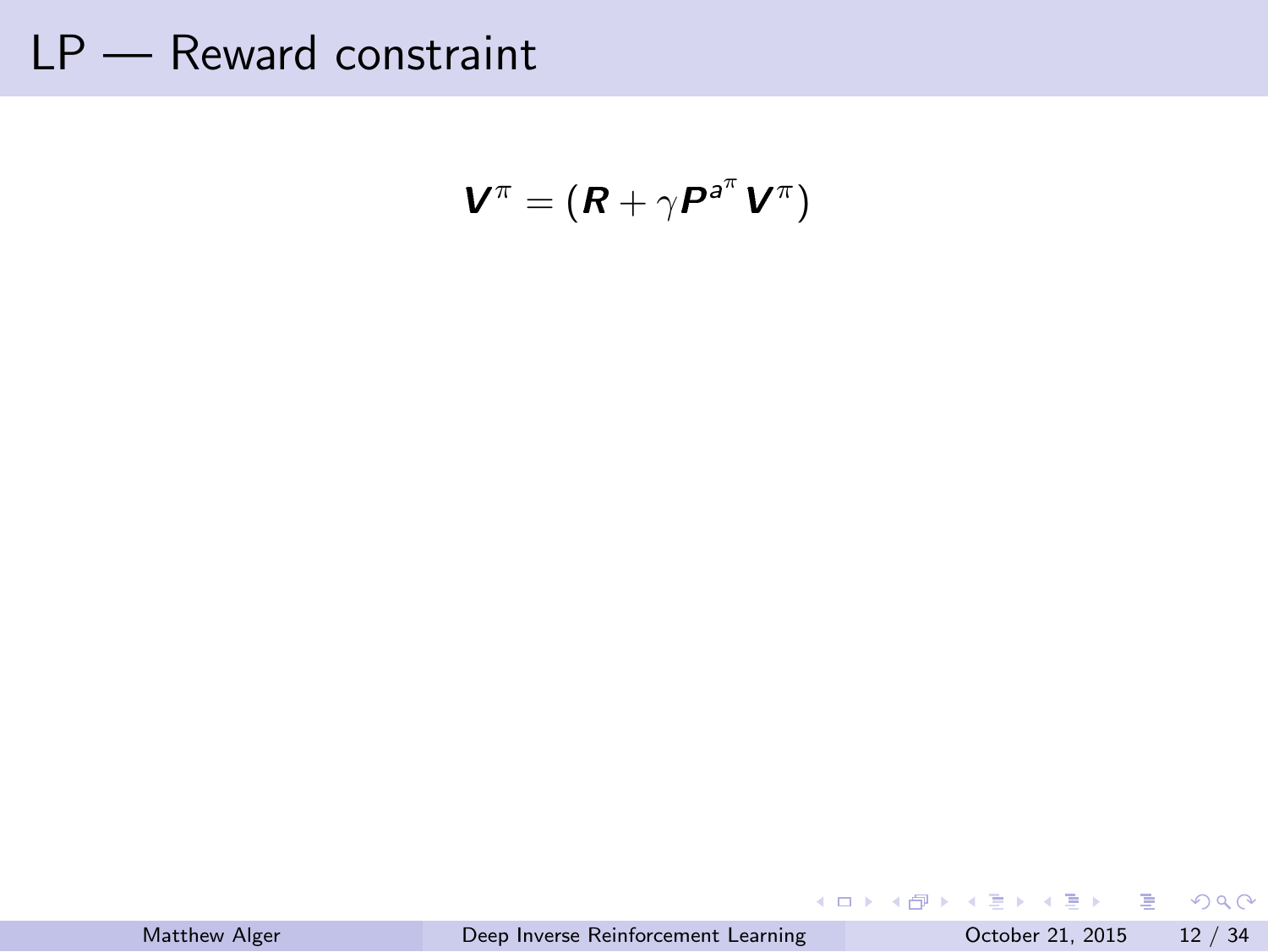LP — Reward constraint

$$
\pmb V^\pi = \left( \pmb R + \gamma \pmb P^{\scriptscriptstyle \pmb a^\pi} \pmb V^\pi \right)
$$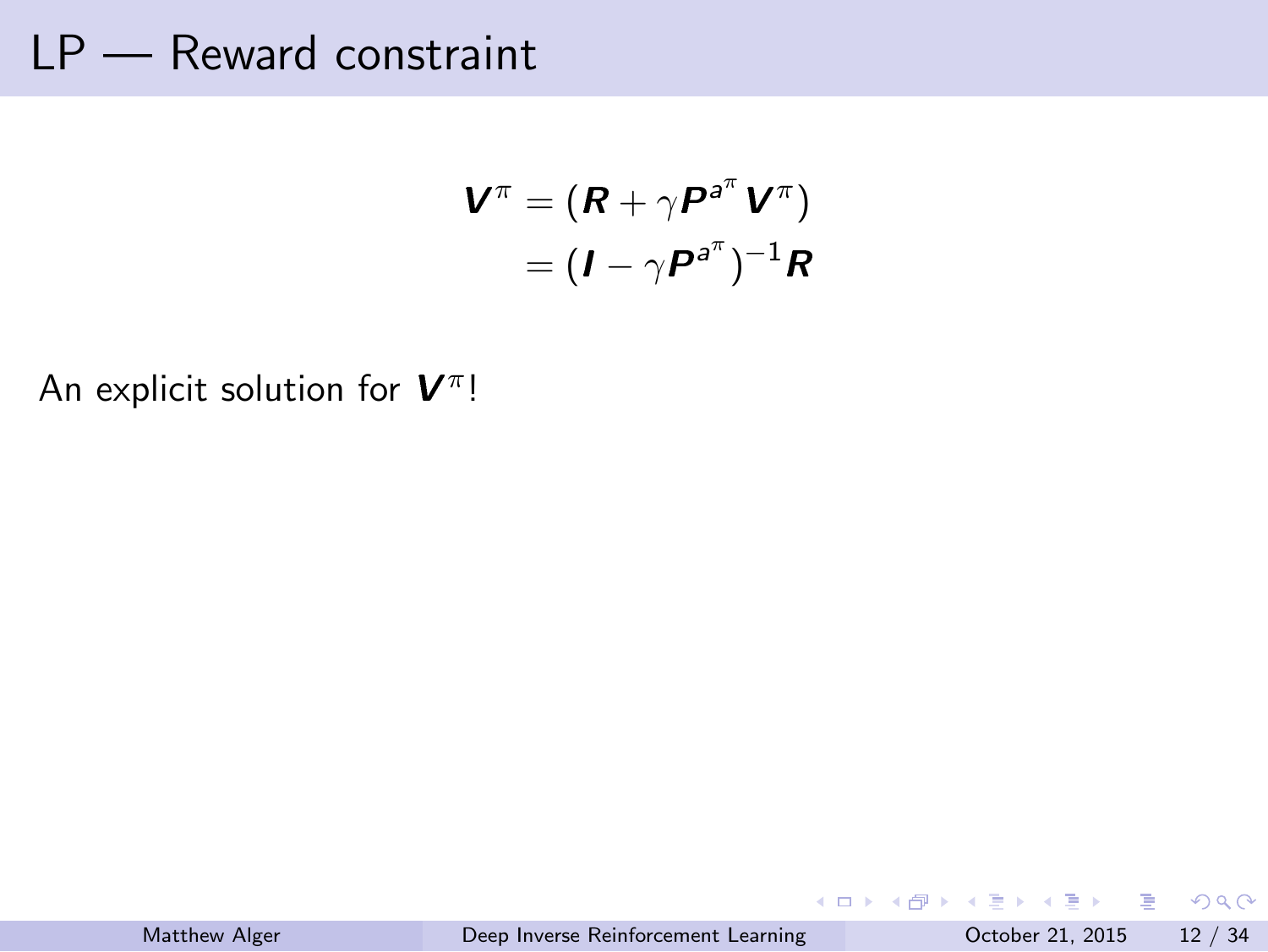#### LP — Reward constraint

$$
\mathbf{V}^{\pi} = (\mathbf{R} + \gamma \mathbf{P}^{a^{\pi}} \mathbf{V}^{\pi})
$$

$$
= (\mathbf{I} - \gamma \mathbf{P}^{a^{\pi}})^{-1} \mathbf{R}
$$

An explicit solution for **V**<sup>π</sup>!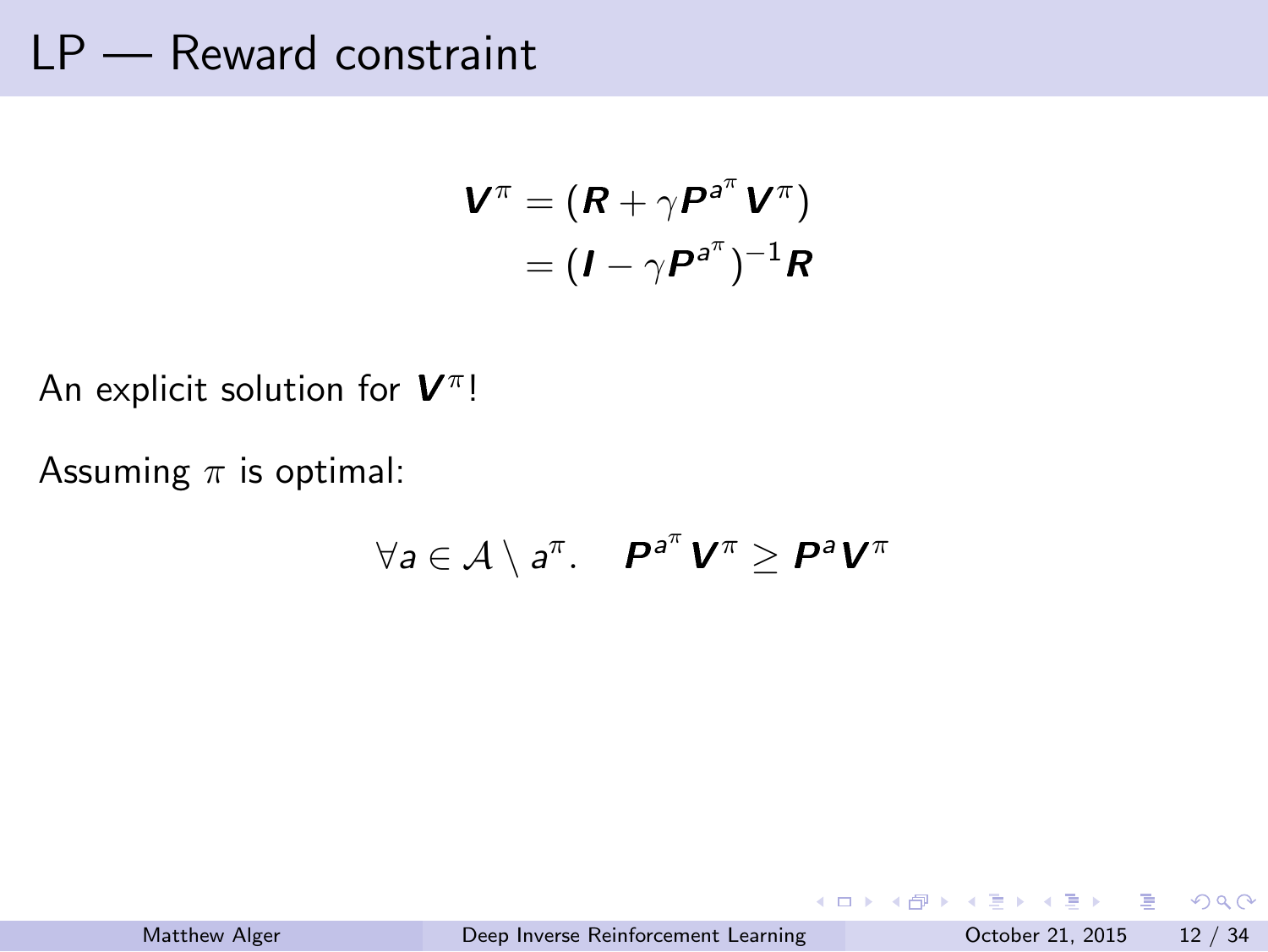#### LP — Reward constraint

$$
\mathbf{V}^{\pi} = (\mathbf{R} + \gamma \mathbf{P}^{a^{\pi}} \mathbf{V}^{\pi})
$$

$$
= (\mathbf{I} - \gamma \mathbf{P}^{a^{\pi}})^{-1} \mathbf{R}
$$

An explicit solution for **V**<sup>π</sup>!

Assuming *π* is optimal:

$$
\forall a \in \mathcal{A} \setminus a^{\pi}.\quad \mathbf{P}^{a^{\pi}}\mathbf{V}^{\pi} \ge \mathbf{P}^{a}\mathbf{V}^{\pi}
$$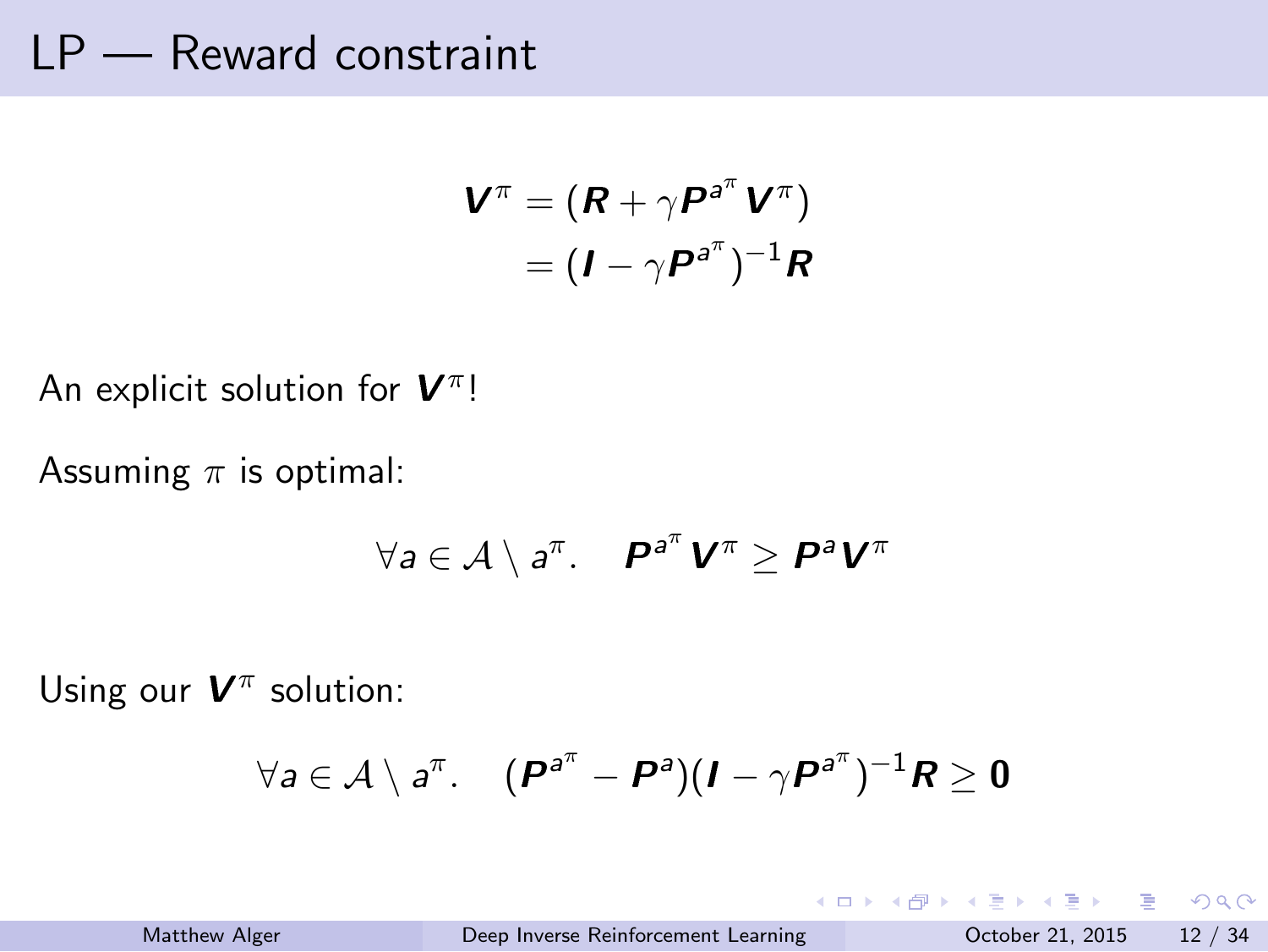| LP |  | Reward constraint |
|----|--|-------------------|
|----|--|-------------------|

$$
\mathbf{V}^{\pi} = (\mathbf{R} + \gamma \mathbf{P}^{a^{\pi}} \mathbf{V}^{\pi})
$$

$$
= (\mathbf{I} - \gamma \mathbf{P}^{a^{\pi}})^{-1} \mathbf{R}
$$

$$
\begin{aligned} \boldsymbol{V}^{\pi} &= (\boldsymbol{R} + \gamma \boldsymbol{P}^{\mathsf{a}^{\pi}} \, \boldsymbol{V}^{\gamma} \\ &= (\boldsymbol{I} - \gamma \boldsymbol{P}^{\mathsf{a}^{\pi}})^{-1} \end{aligned}
$$

An explicit solution for **V**<sup>π</sup>!

Assuming *π* is optimal:

$$
M = 4
$$

Using our  $V^{\pi}$  solution:

 $\forall a \in \mathcal{A} \setminus a^{\pi}. \quad (P^{a^{\pi}} - P^{a})(I - \gamma P^{a^{\pi}})^{-1}R \geq 0$ 

 $\forall a \in \mathcal{A} \setminus a^{\pi}$ .  $\bm{P}^{a^{\pi}} \bm{V}^{\pi} \geq \bm{P}^{a} \bm{V}^{\pi}$ 

Matthew Alger Deep Inverse Reinforcement Learning October 21, 2015 12 / 34

. . . . . . . . . . . . . . . . . . . . . . . . . . . . . . . . . . . . . . . .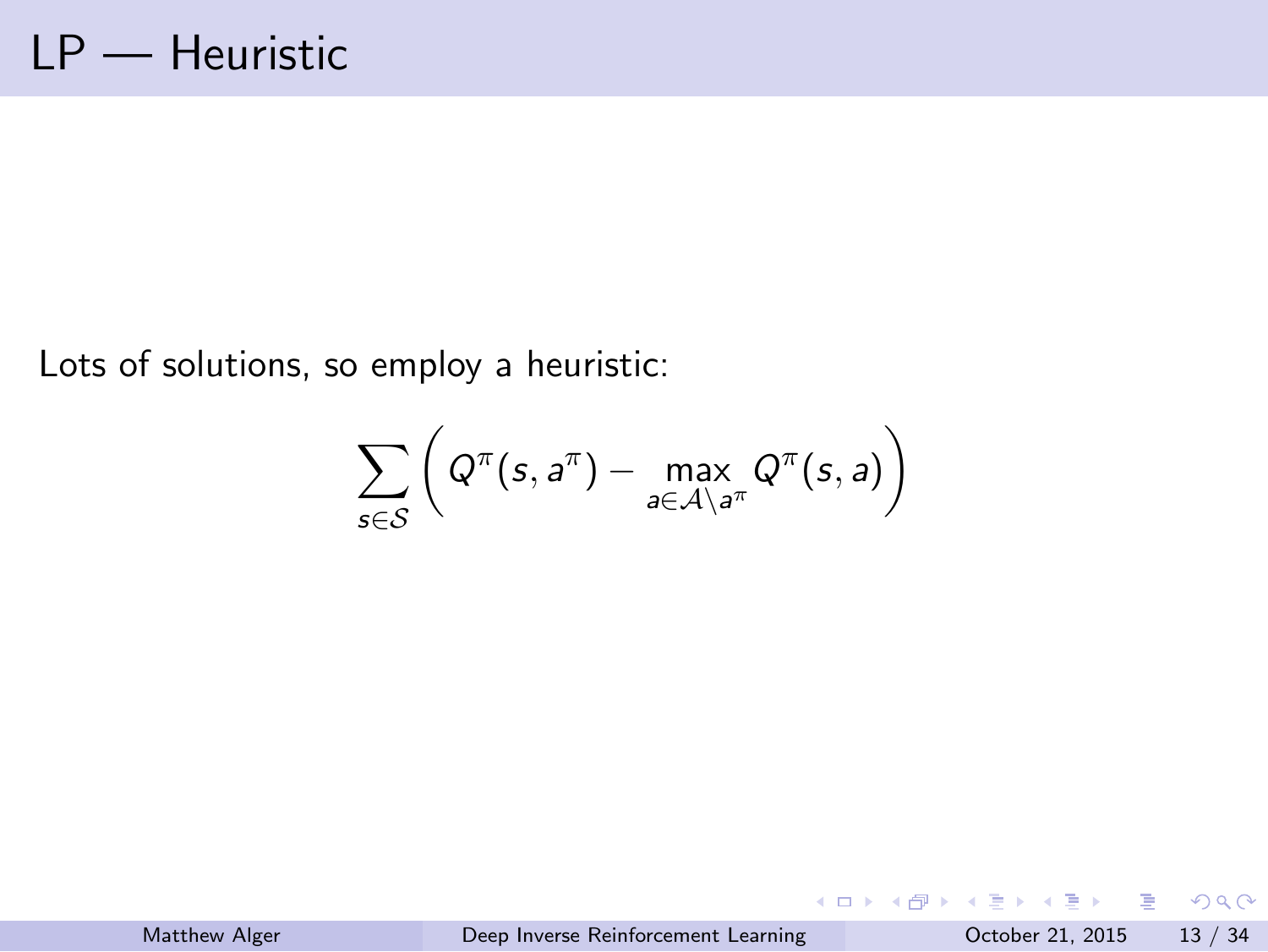# LP — Heuristic

Lots of solutions, so employ a heuristic:

$$
\sum_{s\in\mathcal{S}}\bigg(Q^\pi(s,a^\pi)-\underset{a\in\mathcal{A}\setminus a^\pi}{\text{max}}Q^\pi(s,a)\bigg)
$$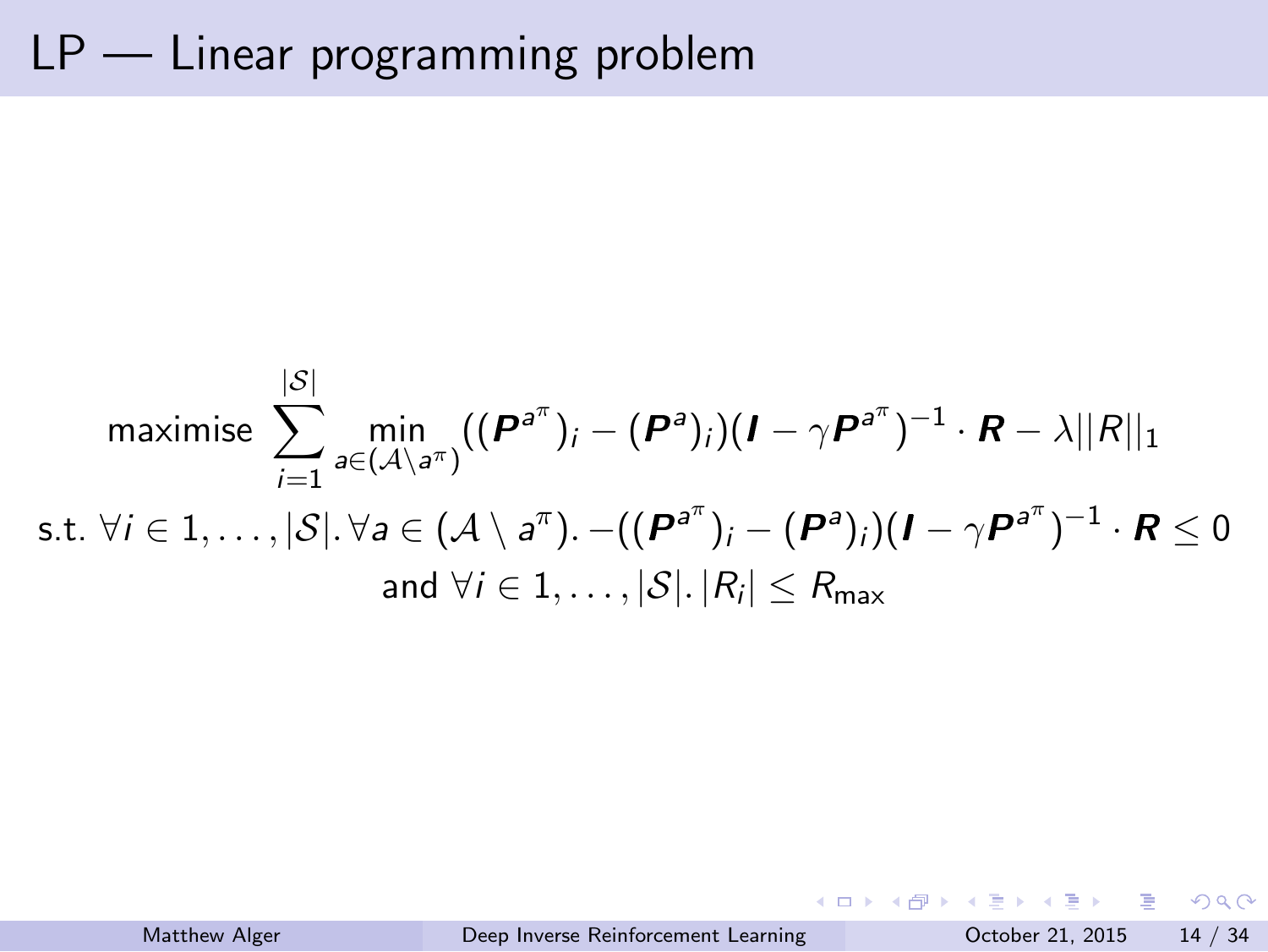# LP — Linear programming problem

maximise 
$$
\sum_{i=1}^{|\mathcal{S}|} \min_{a \in (\mathcal{A} \setminus a^{\pi})} ((\boldsymbol{P}^{a^{\pi}})_i - (\boldsymbol{P}^{a})_i)(\boldsymbol{I} - \gamma \boldsymbol{P}^{a^{\pi}})^{-1} \cdot \boldsymbol{R} - \lambda ||R||_1
$$
  
s.t.  $\forall i \in 1, ..., |\mathcal{S}|$ .  $\forall a \in (\mathcal{A} \setminus a^{\pi})$ .  $-((\boldsymbol{P}^{a^{\pi}})_i - (\boldsymbol{P}^{a})_i)(\boldsymbol{I} - \gamma \boldsymbol{P}^{a^{\pi}})^{-1} \cdot \boldsymbol{R} \leq 0$   
and  $\forall i \in 1, ..., |\mathcal{S}|$ .  $|R_i| \leq R_{\text{max}}$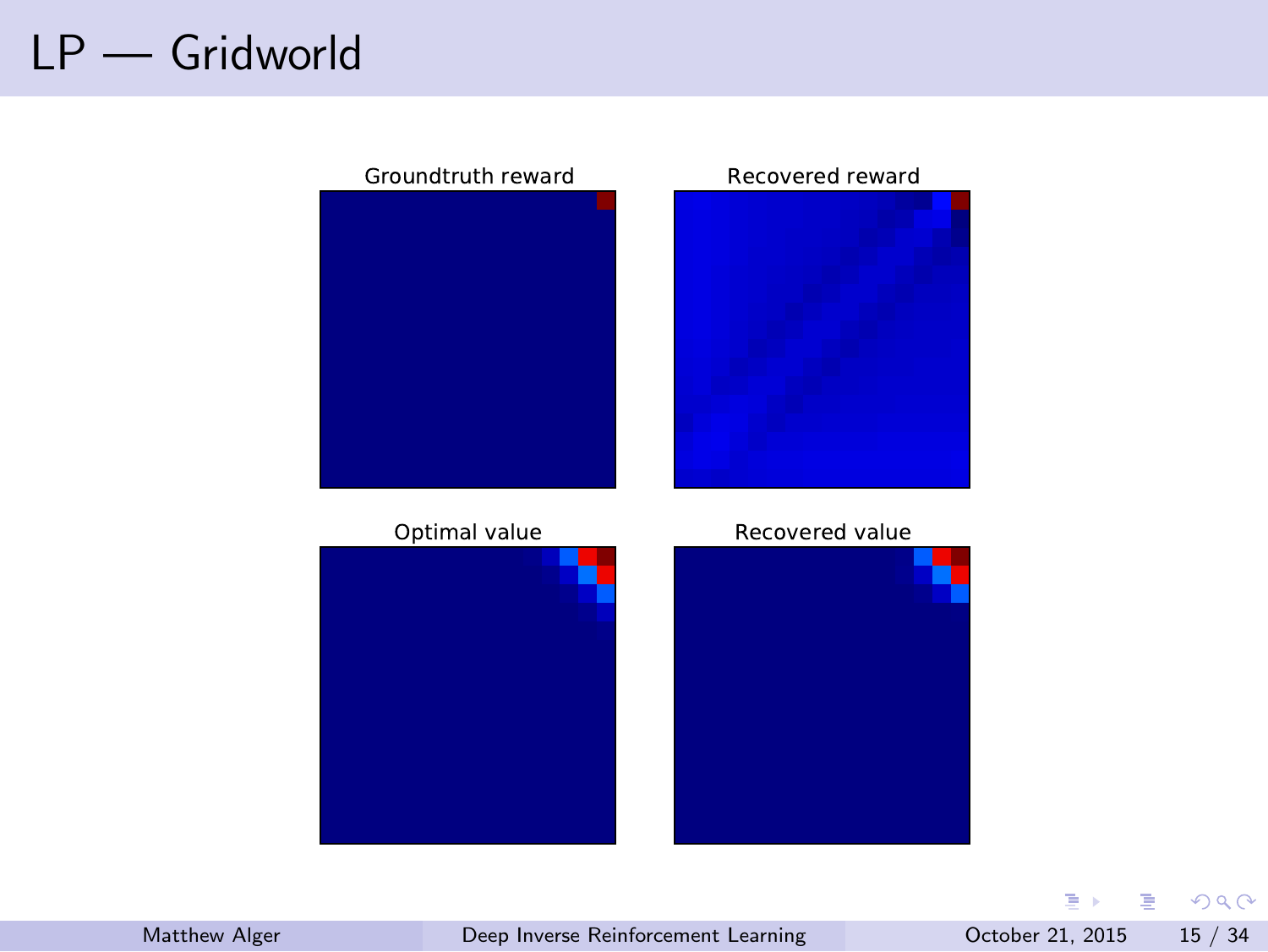# LP — Gridworld

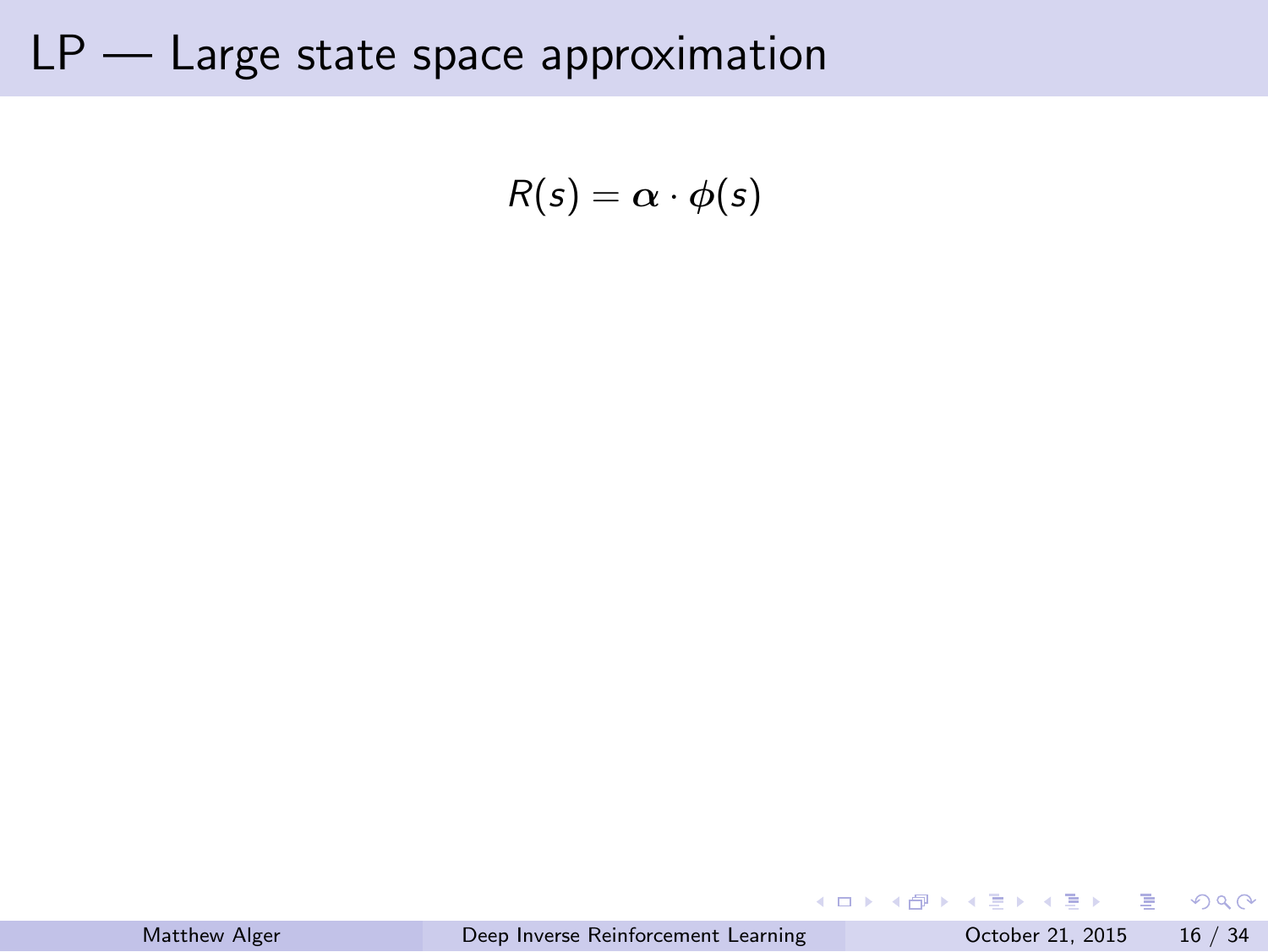$$
R(s) = \alpha \cdot \phi(s)
$$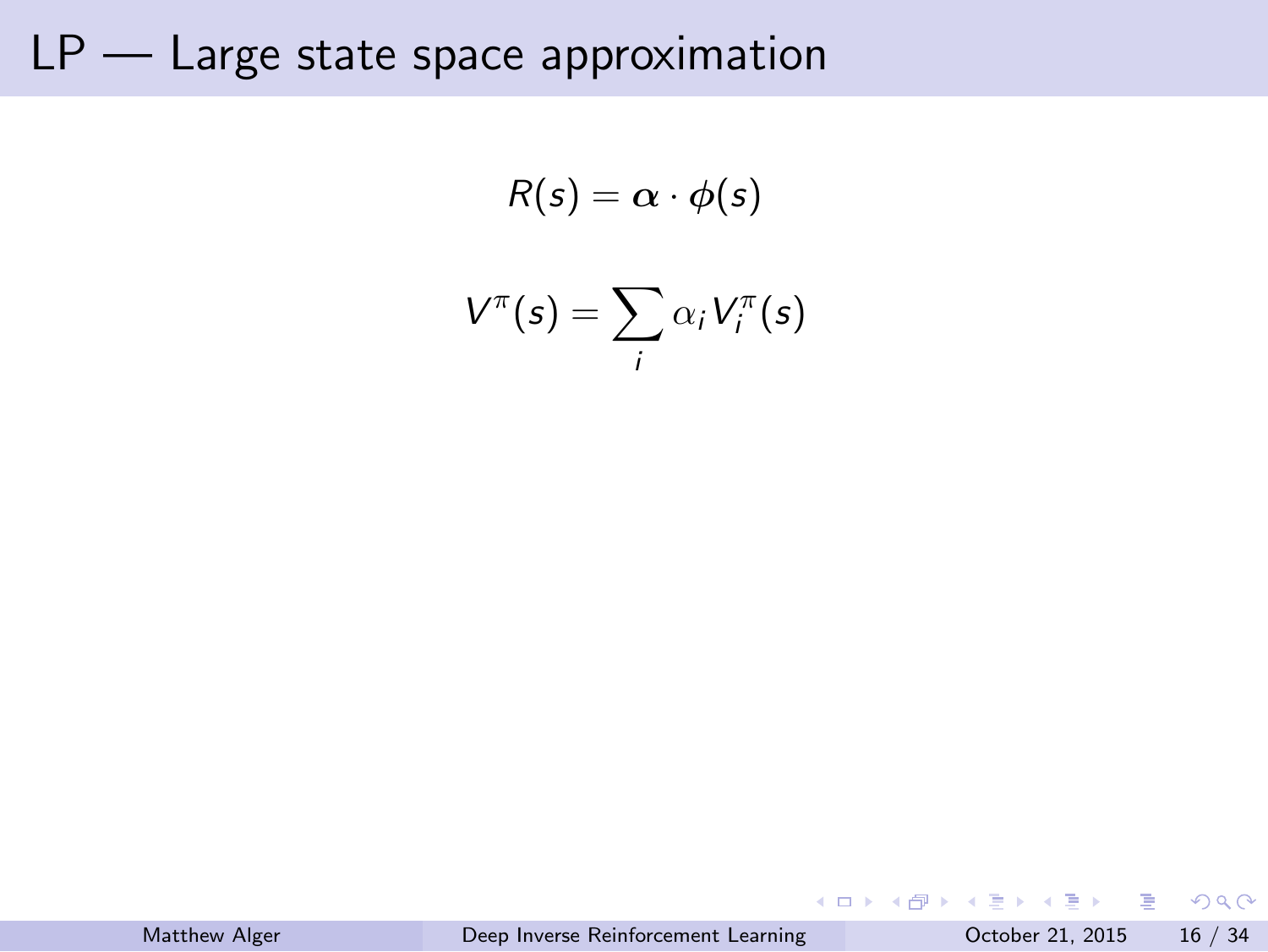$$
R(s) = \alpha \cdot \phi(s)
$$

$$
V^{\pi}(s) = \sum \alpha_i V_i^{\pi}(s)
$$

*i*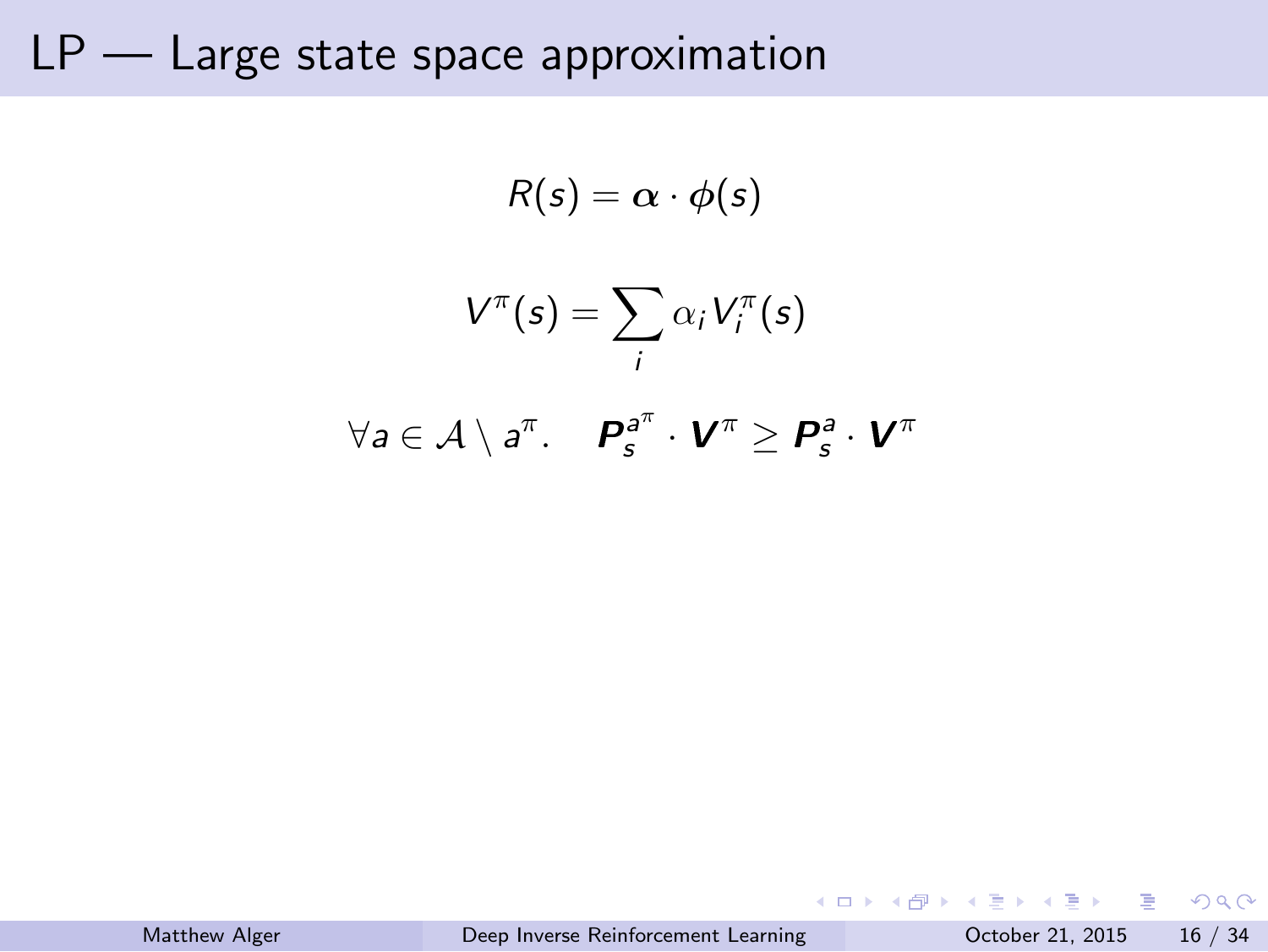$$
R(s) = \alpha \cdot \phi(s)
$$

$$
V^{\pi}(s) = \sum_{i} \alpha_{i} V_{i}^{\pi}(s)
$$

$$
\forall a \in A \setminus a^{\pi}. \quad P_{s}^{a^{\pi}} \cdot V^{\pi} \ge P_{s}^{a} \cdot V^{\pi}
$$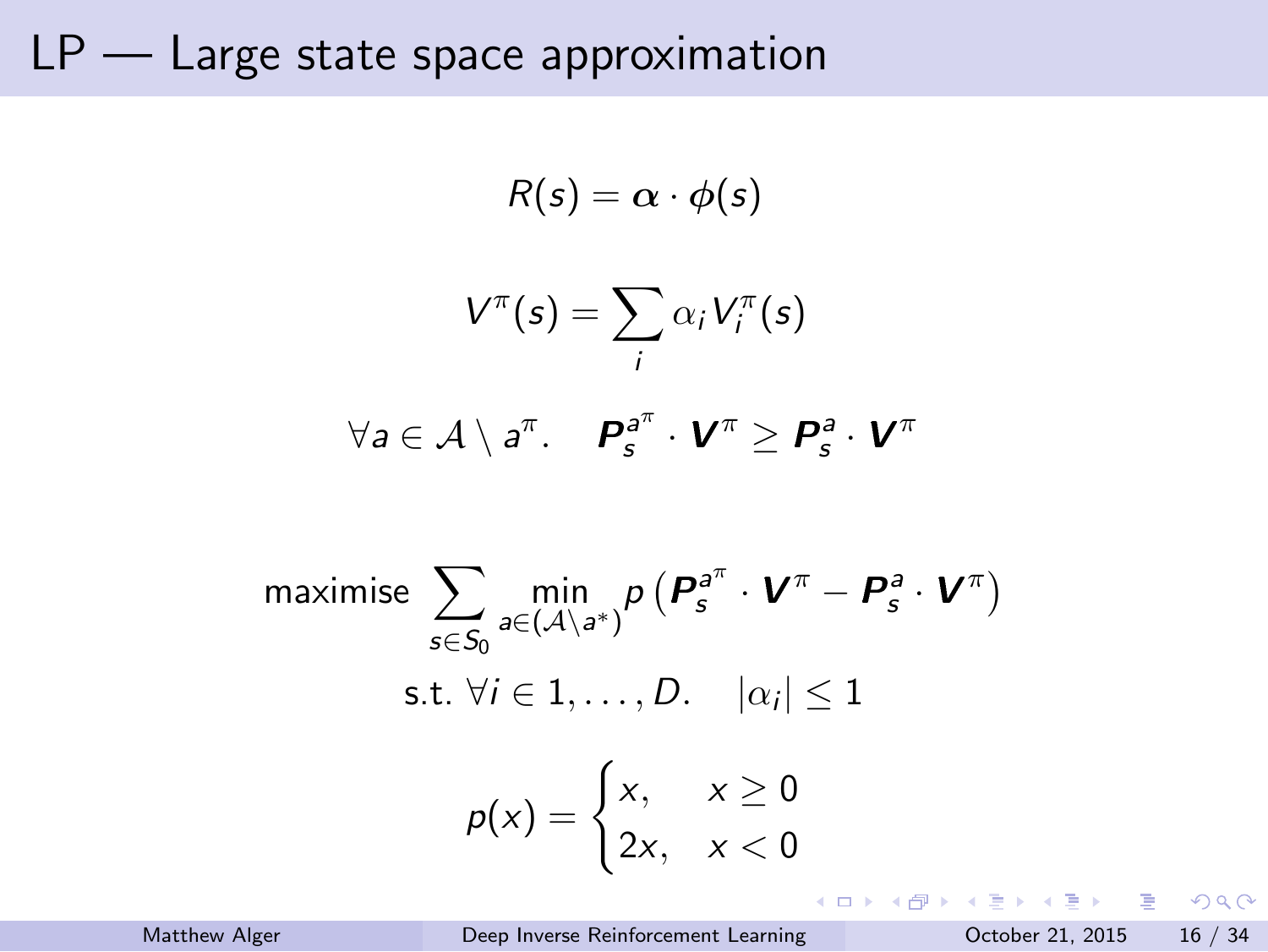$$
V^{\pi}(s) = \sum_{i} \alpha_{i} V_{i}^{\pi}(s)
$$
  
\n
$$
\forall a \in \mathcal{A} \setminus a^{\pi}. \quad P_{s}^{a^{\pi}} \cdot V^{\pi} \ge P_{s}^{a} \cdot V^{\pi}
$$
  
\nmaximise 
$$
\sum_{s \in S_{0}} \min_{a \in (\mathcal{A} \setminus a^{*})} p(P_{s}^{a^{\pi}} \cdot V^{\pi} - P_{s}^{a} \cdot V^{\pi})
$$
  
\ns.t.  $\forall i \in 1, ..., D. \quad |\alpha_{i}| \le 1$   
\n
$$
p(x) = \begin{cases} x, & x \ge 0 \\ 2x, & x < 0 \end{cases}
$$

 $R(s) = \alpha \cdot \phi(s)$ 

. بالمركز المستوى المستوى المستوى المستوى المستوى المستوى المستوى المستوى المستوى المستوى المستوى المستوى المس<br>16 / 34 / 16 / 21, 2015 16 / 34 / 2015 16 / 34 / 2015 16 / 34 / 2016 17 / 2016 17 / 2016 17 / 2016 17 / 2016 1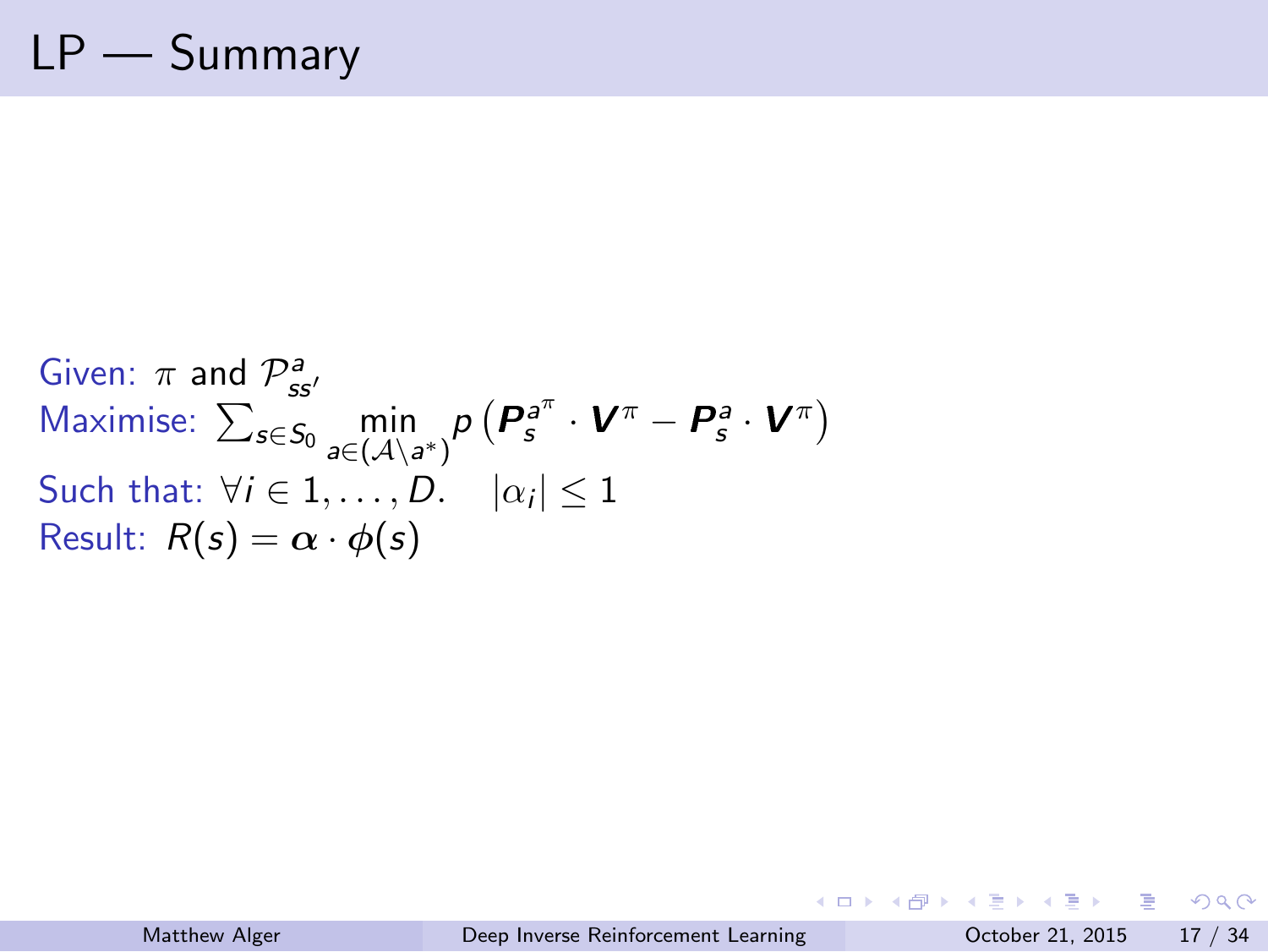# LP — Summary

Given:  $\pi$  and  $\mathcal{P}^a_{ss'}$ <br>Maximise:  $\sum_{s \in S_0} \min_{a \in (A \setminus \mathcal{S})}$  $\min_{a \in (\mathcal{A}\setminus a^*)} p\left(P_s^{a^{\pi}} \cdot \mathbf{V}^{\pi} - P_s^{a} \cdot \mathbf{V}^{\pi}\right)$ Such that:  $\forall i \in 1, \ldots, D$ .  $|\alpha_i| \leq 1$ Result:  $R(s) = \alpha \cdot \phi(s)$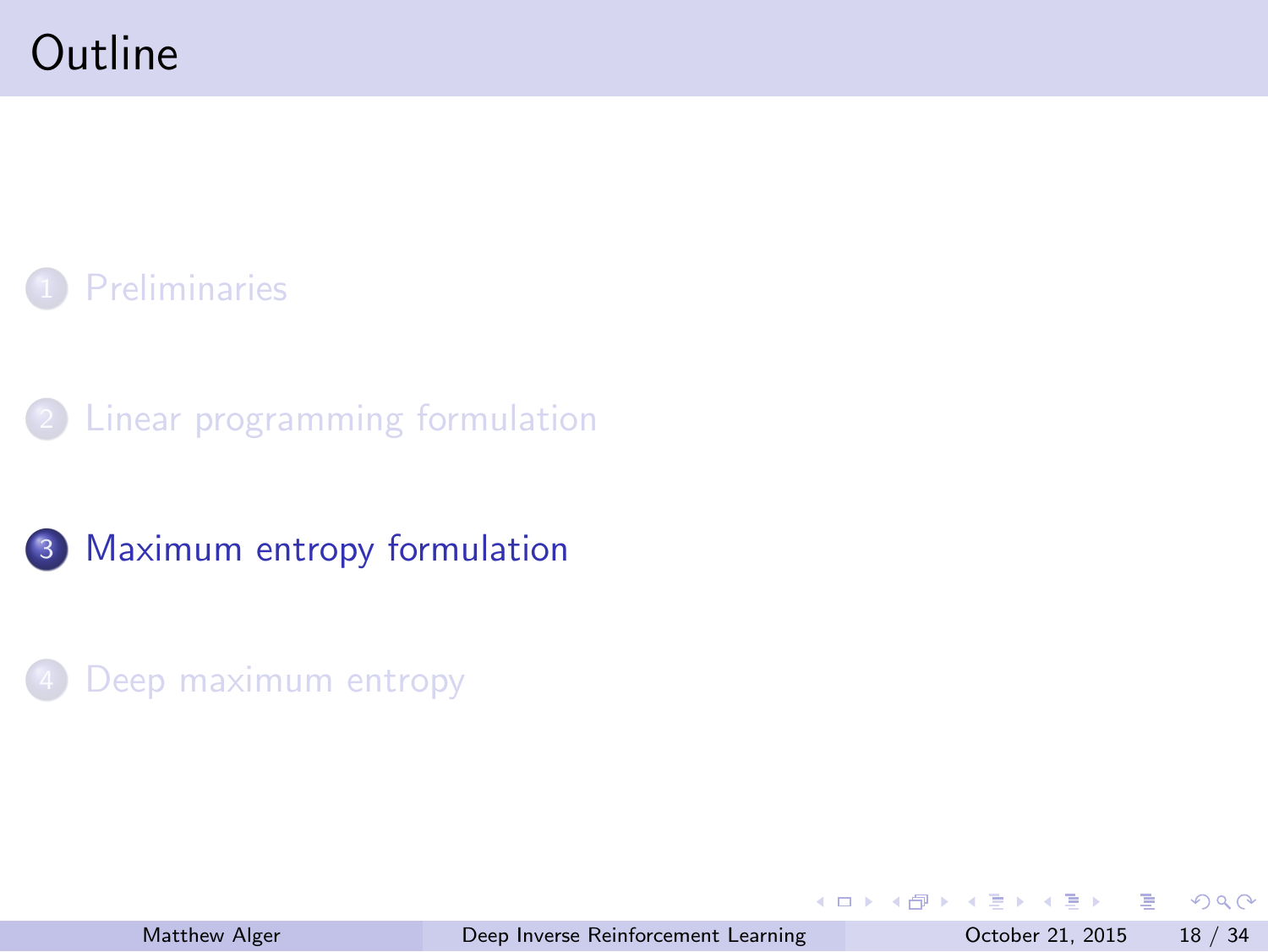#### **Outline**



2 Linear programming formulation

3 Maximum entropy formulation

4 Deep maximum entropy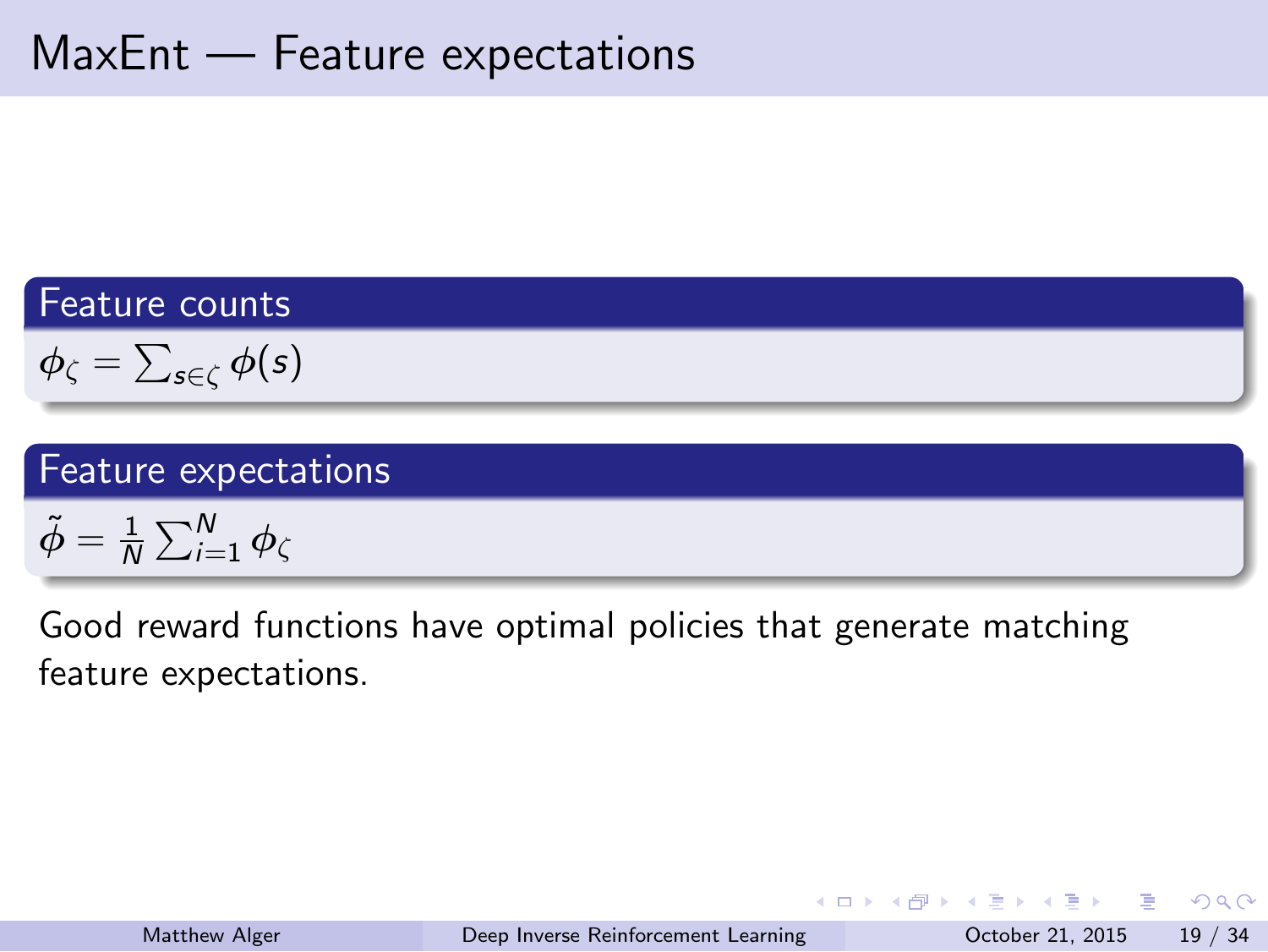#### MaxEnt — Feature expectations

Feature counts

 $\phi_{\zeta} = \sum_{s \in \zeta} \phi(s)$ 

Feature expectations

 $\tilde{\phi} = \frac{1}{\hbar}$  $\frac{1}{N}\sum_{i=1}^N \phi_{\zeta}$ 

Good reward functions have optimal policies that generate matching feature expectations.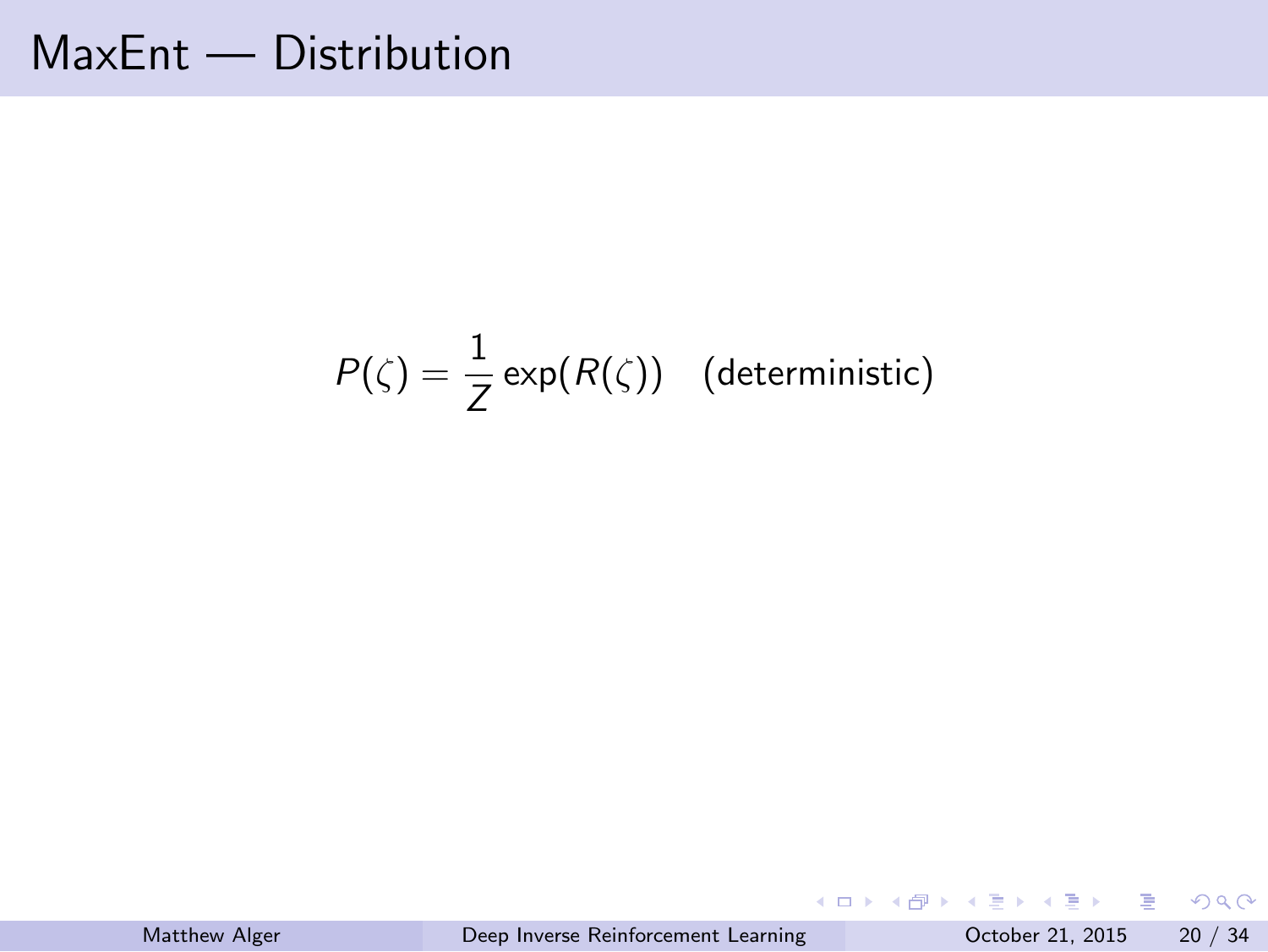MaxEnt — Distribution

$$
P(\zeta) = \frac{1}{Z} \exp(R(\zeta))
$$
 (deterministic)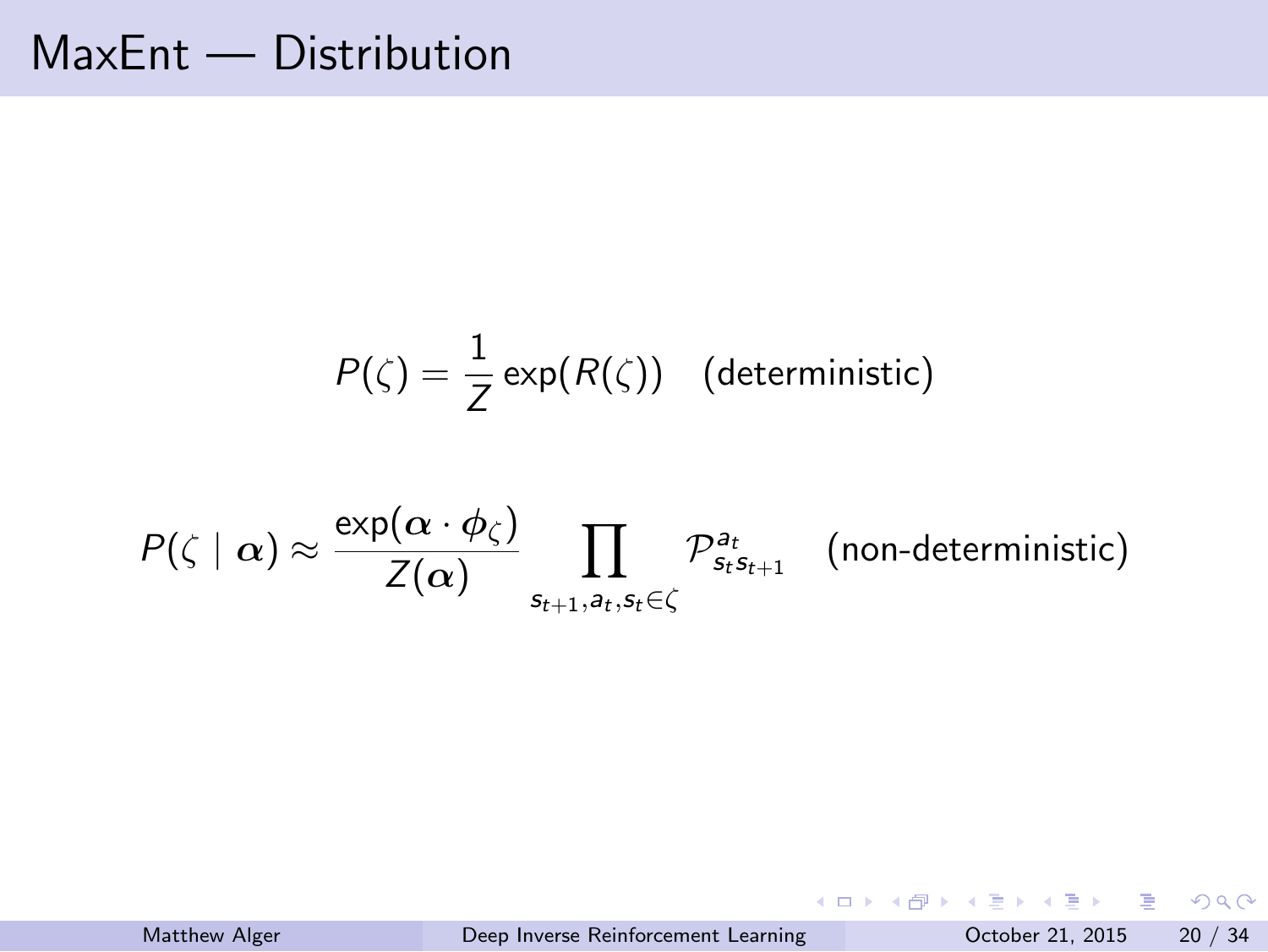#### MaxEnt — Distribution

$$
P(\zeta) = \frac{1}{Z} \exp(R(\zeta))
$$
 (deterministic)

$$
P(\zeta \mid \alpha) \approx \frac{\exp(\alpha \cdot \phi_{\zeta})}{Z(\alpha)} \prod_{s_{t+1},a_t,s_t \in \zeta} \mathcal{P}_{s_ts_{t+1}}^{a_t} \quad \text{(non-deterministic)}
$$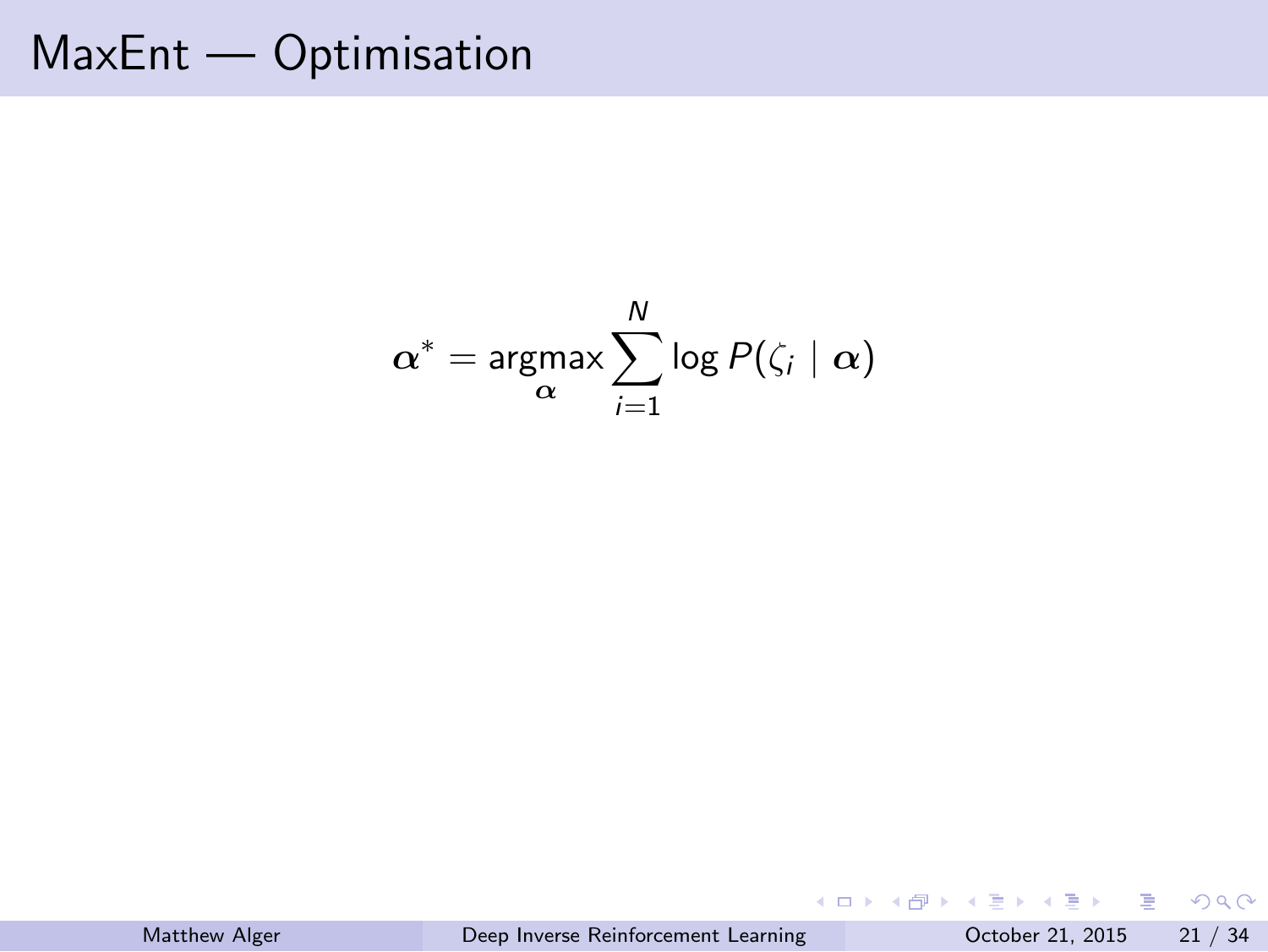MaxEnt — Optimisation

$$
\alpha^* = \underset{\alpha}{\text{argmax}} \sum_{i=1}^N \log P(\zeta_i \mid \alpha)
$$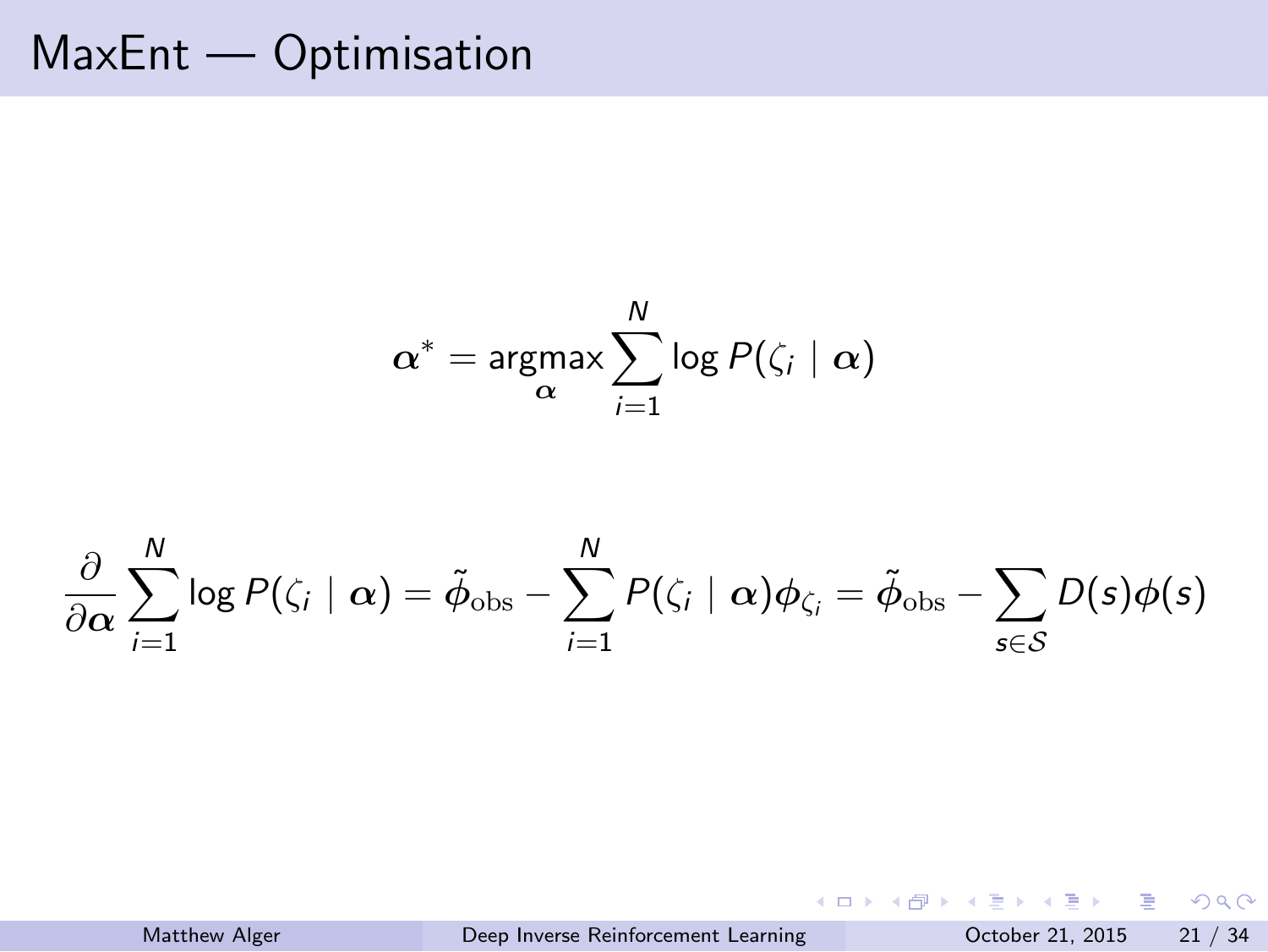# MaxEnt — Optimisation

$$
\alpha^* = \underset{\alpha}{\text{argmax}} \sum_{i=1}^N \log P(\zeta_i \mid \alpha)
$$

$$
\frac{\partial}{\partial \alpha} \sum_{i=1}^N \log P(\zeta_i \mid \alpha) = \tilde{\phi}_{\text{obs}} - \sum_{i=1}^N P(\zeta_i \mid \alpha) \phi_{\zeta_i} = \tilde{\phi}_{\text{obs}} - \sum_{s \in \mathcal{S}} D(s) \phi(s)
$$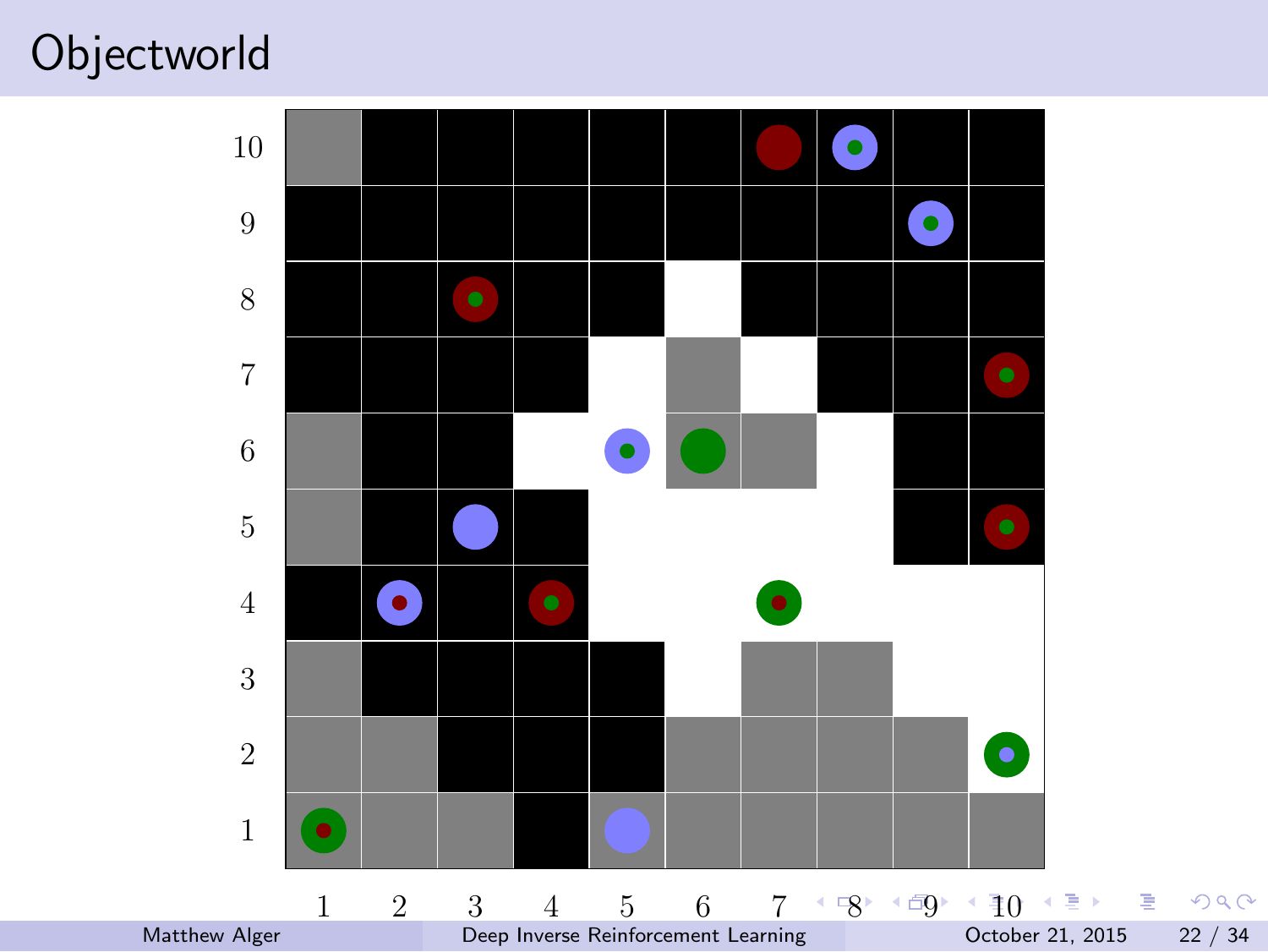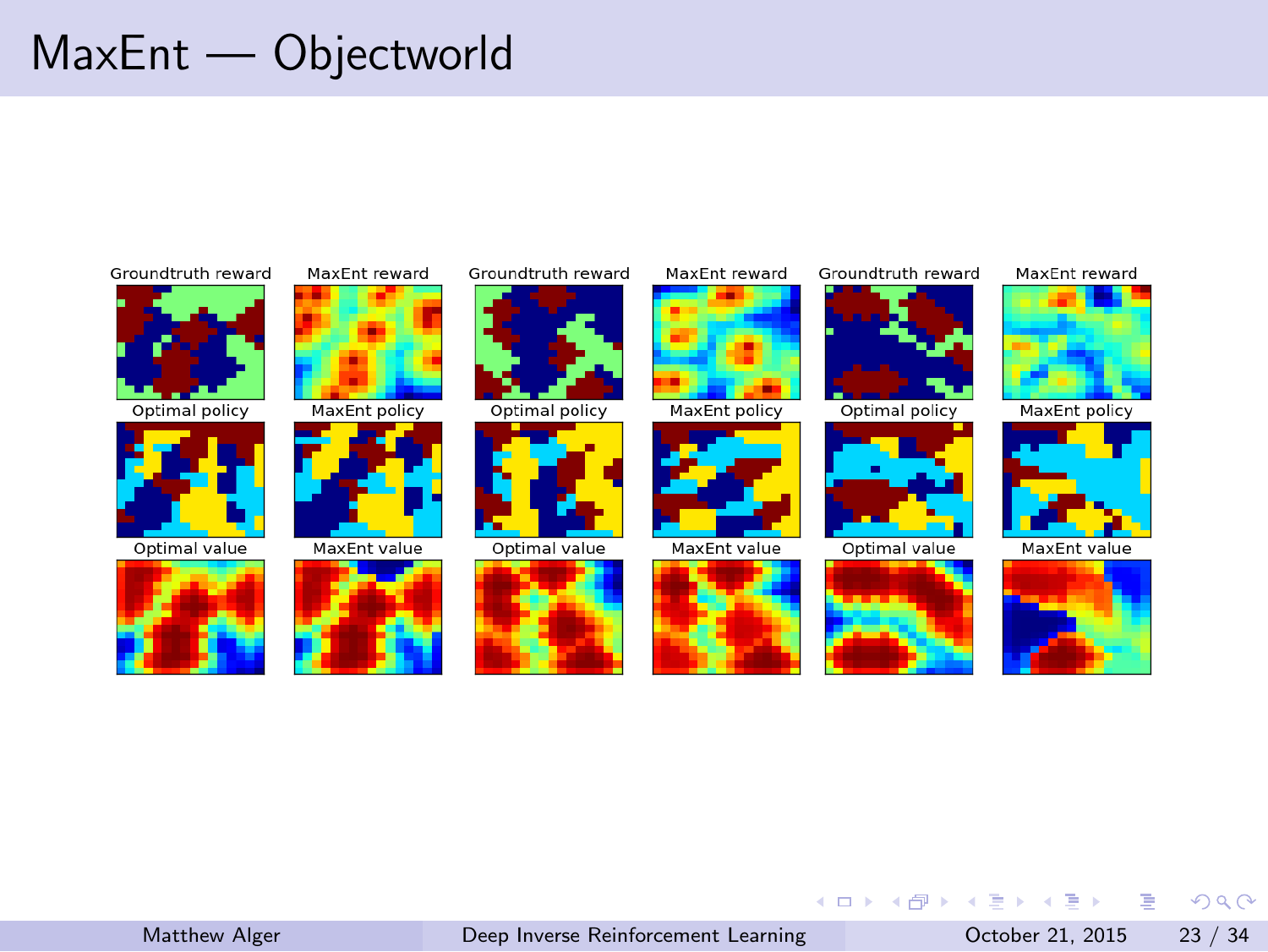### MaxEnt — Objectworld

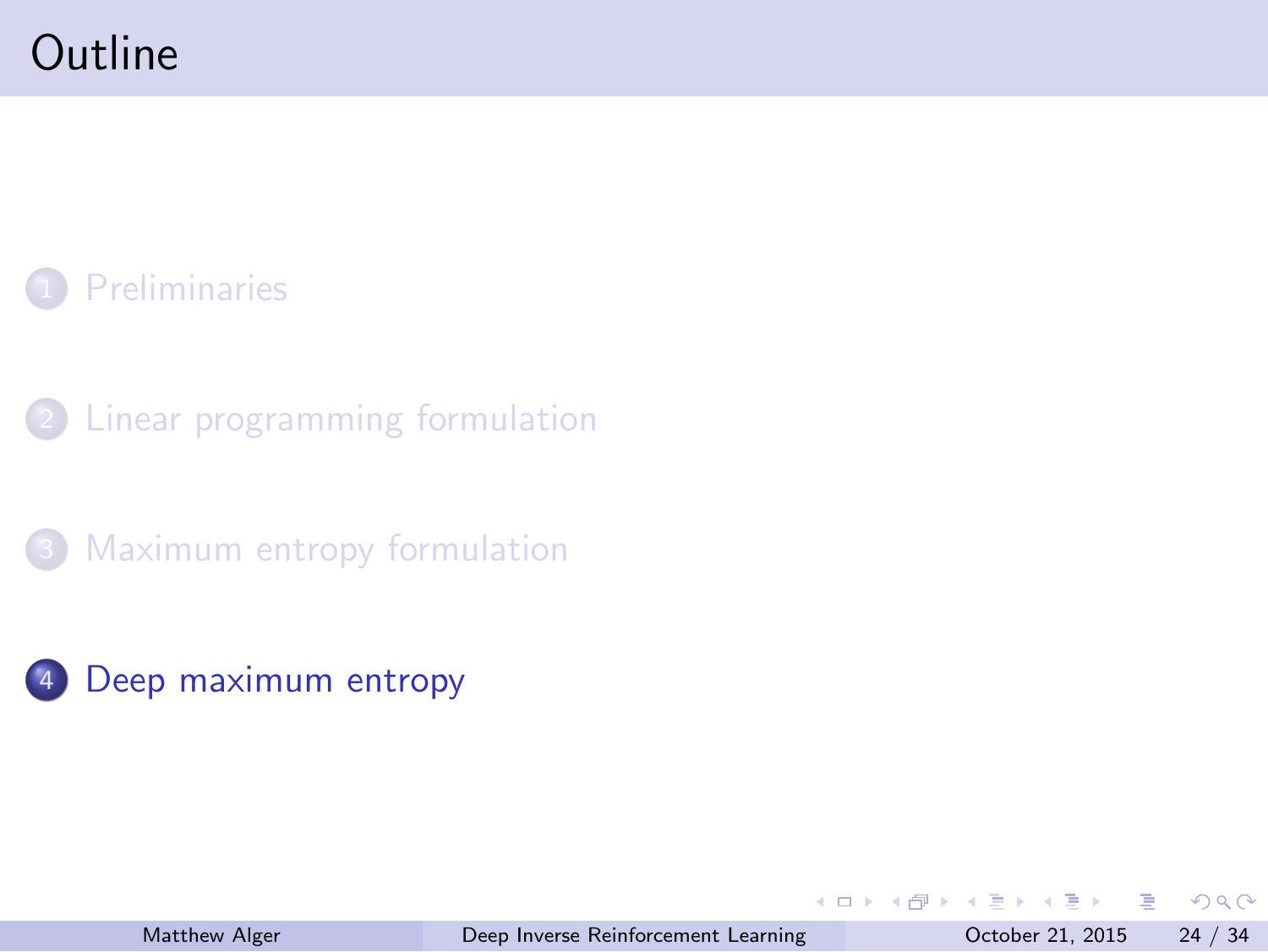#### **Outline**

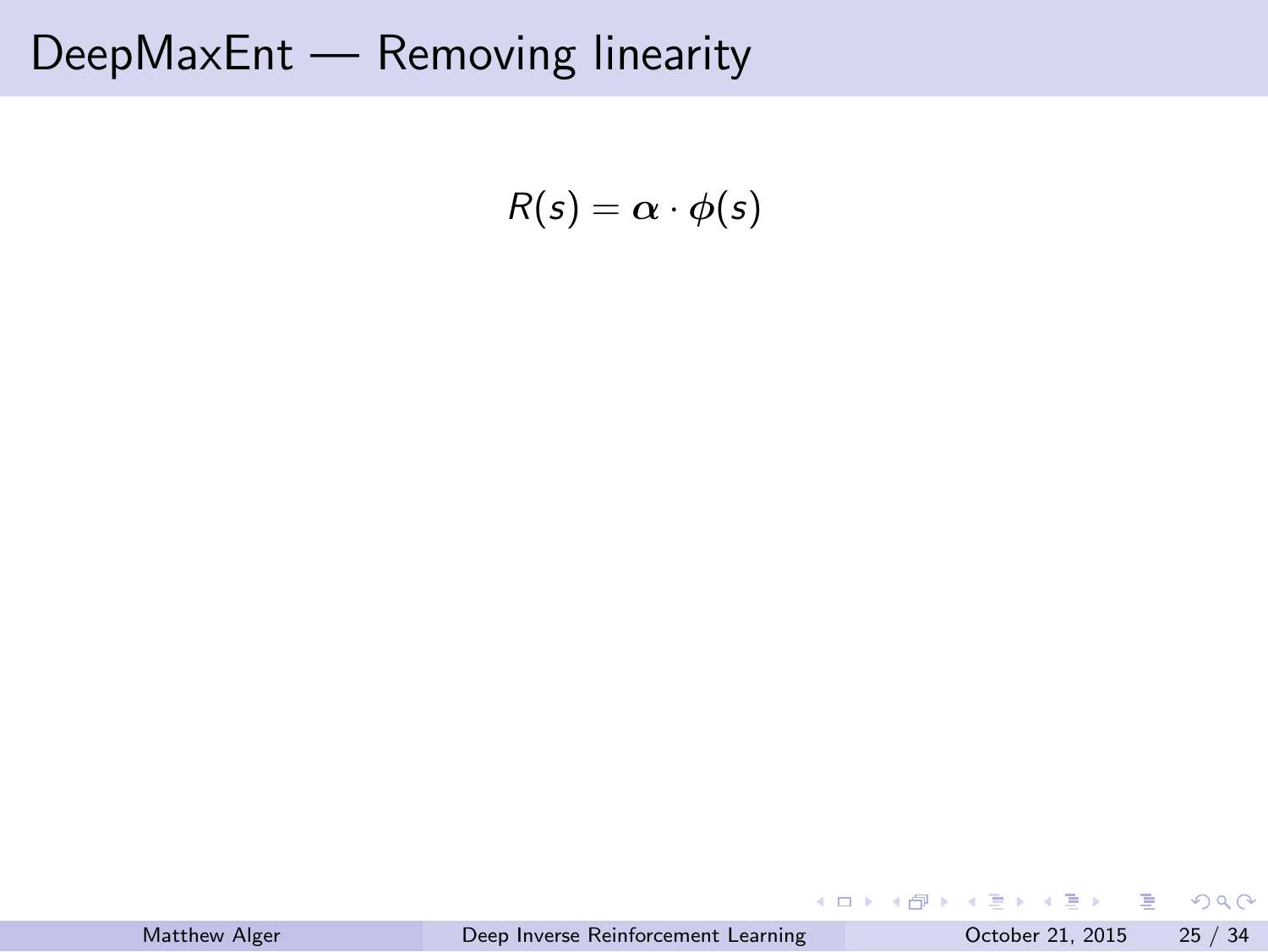DeepMaxEnt — Removing linearity

$$
R(s) = \alpha \cdot \phi(s)
$$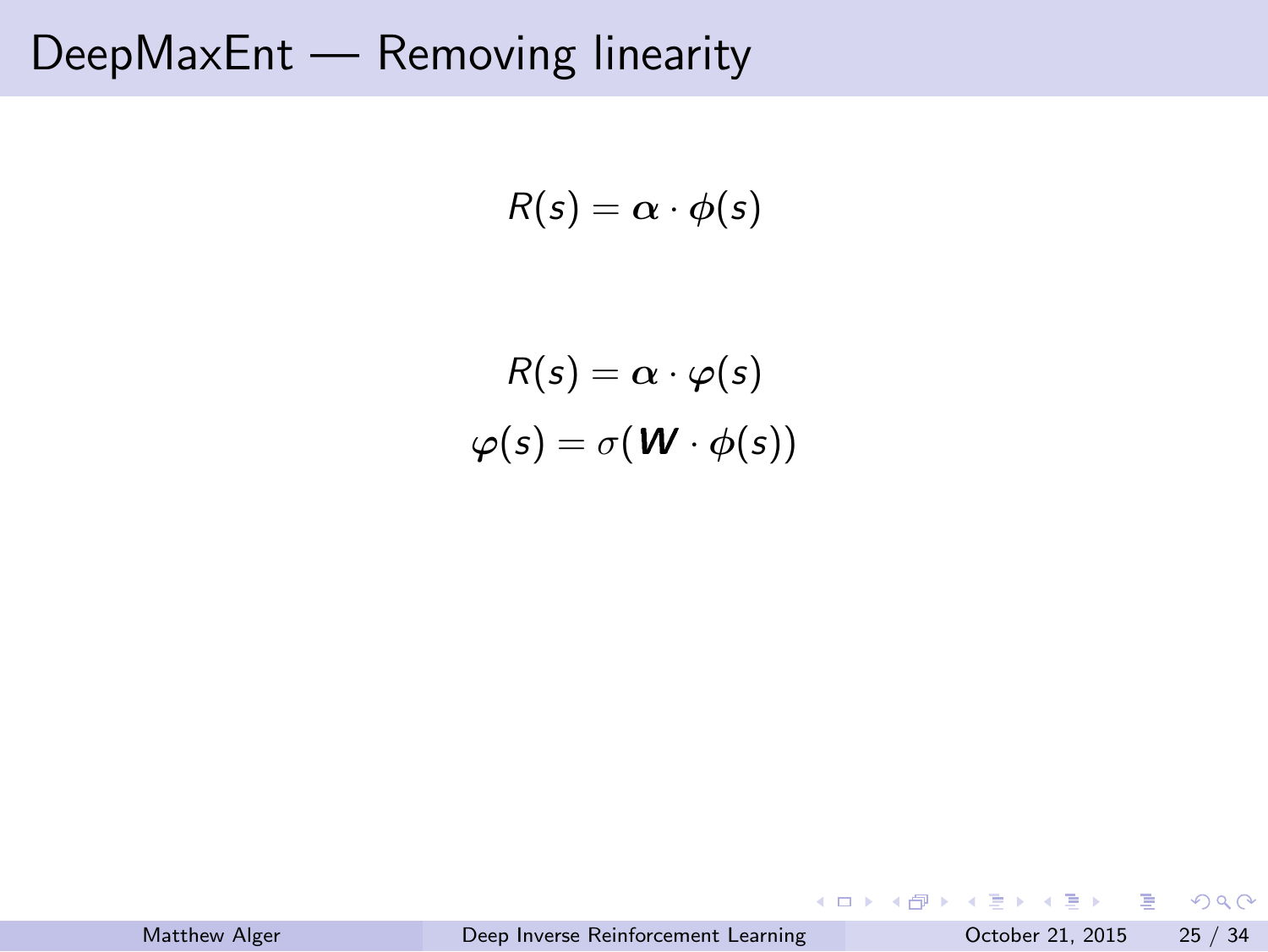DeepMaxEnt — Removing linearity

$$
R(s) = \alpha \cdot \phi(s)
$$

$$
R(s) = \alpha \cdot \varphi(s)
$$

$$
\varphi(s) = \sigma(\mathbf{W} \cdot \phi(s))
$$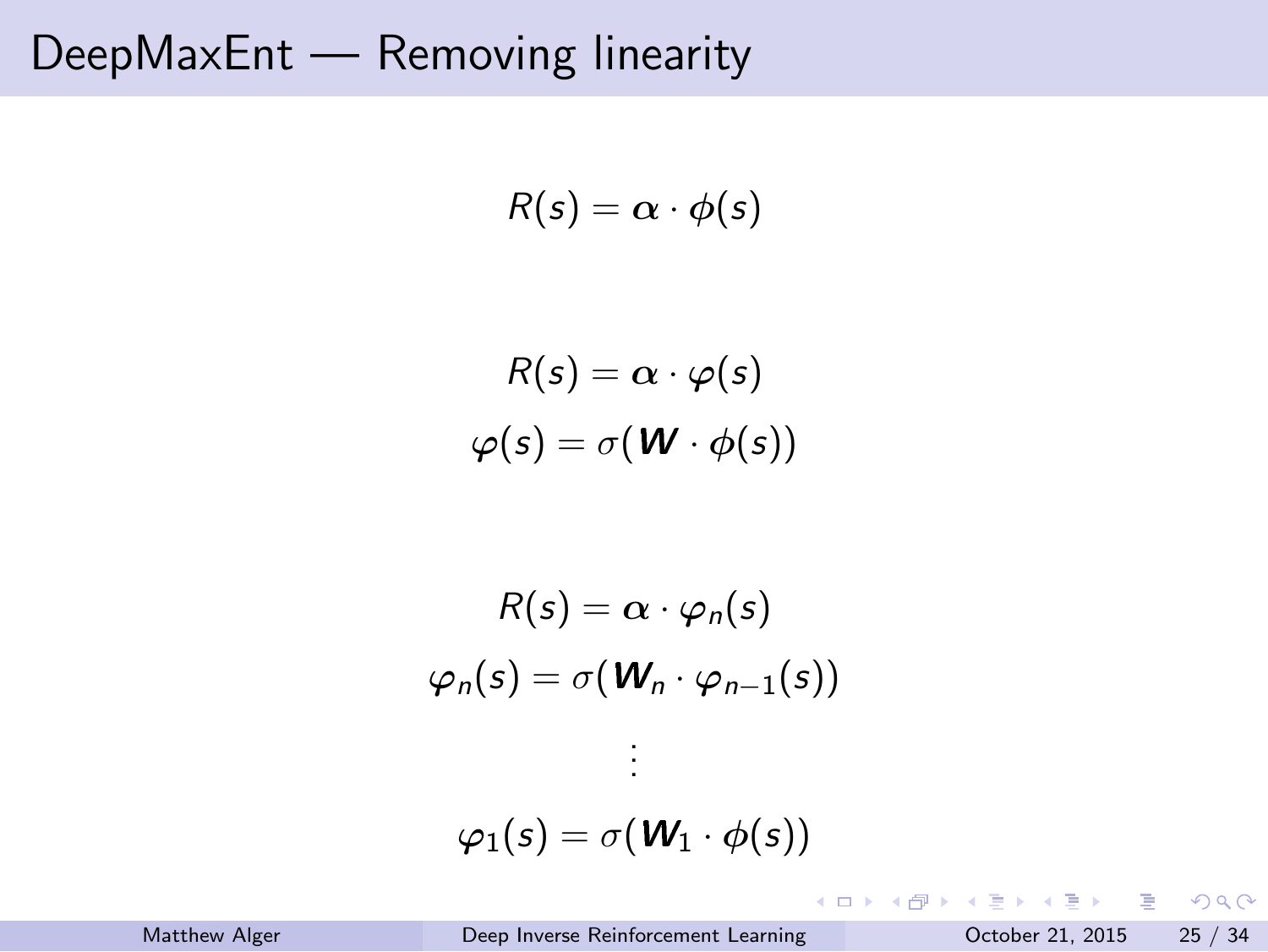# DeepMaxEnt — Removing linearity

$$
R(s) = \alpha \cdot \phi(s)
$$
  
\n
$$
R(s) = \alpha \cdot \varphi(s)
$$
  
\n
$$
\varphi(s) = \sigma(\mathbf{W} \cdot \phi(s))
$$
  
\n
$$
R(s) = \alpha \cdot \varphi_n(s)
$$
  
\n
$$
\varphi_n(s) = \sigma(\mathbf{W}_n \cdot \varphi_{n-1}(s))
$$
  
\n:  
\n:  
\n
$$
\varphi_1(s) = \sigma(\mathbf{W}_1 \cdot \phi(s))
$$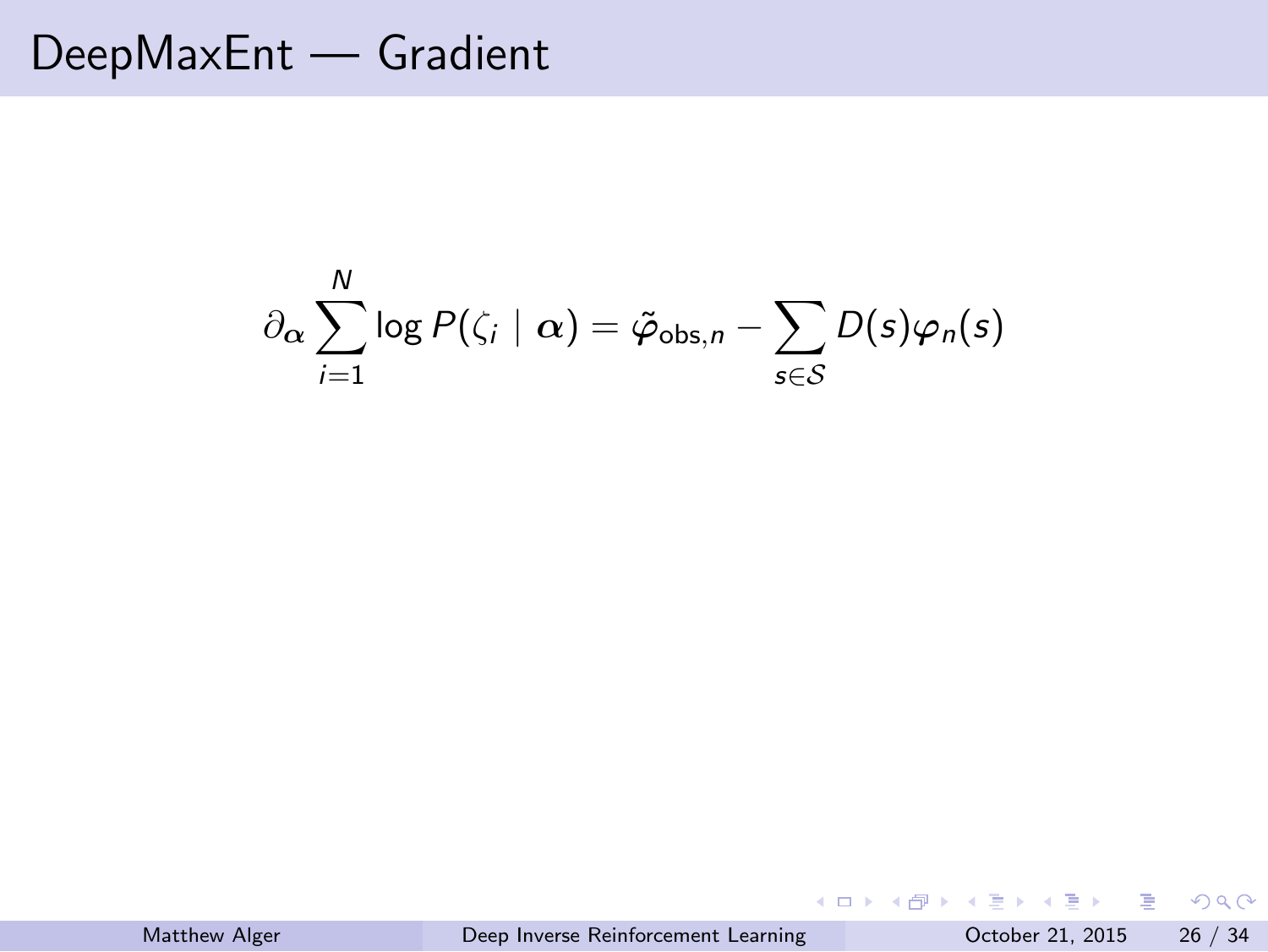$$
\partial_{\boldsymbol{\alpha}} \sum_{i=1}^N \log P(\zeta_i \mid \boldsymbol{\alpha}) = \tilde{\varphi}_{\text{obs},n} - \sum_{s \in \mathcal{S}} D(s) \varphi_n(s)
$$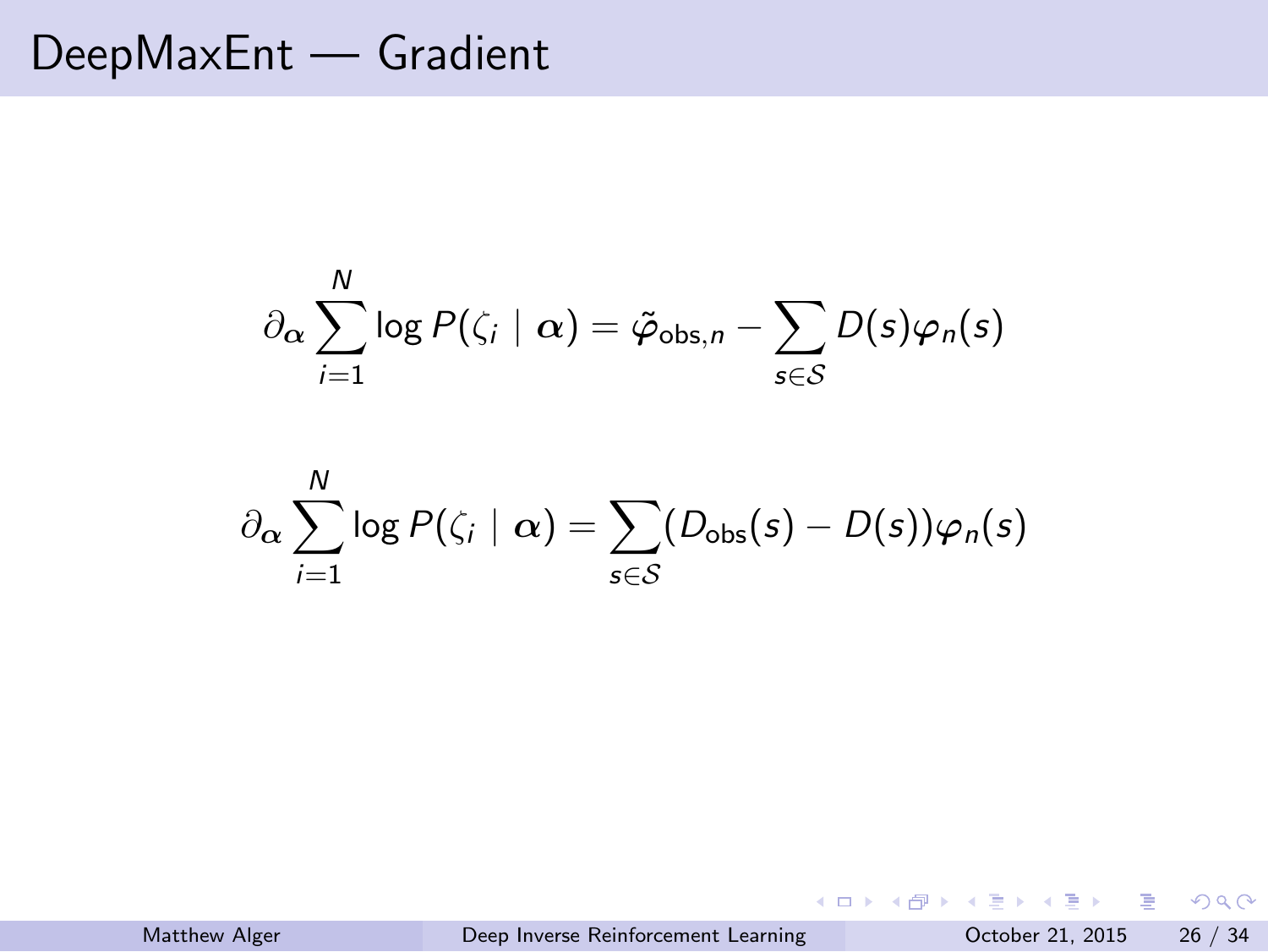$$
\partial_{\alpha} \sum_{i=1}^{N} \log P(\zeta_i \mid \alpha) = \tilde{\varphi}_{\text{obs},n} - \sum_{s \in \mathcal{S}} D(s) \varphi_n(s)
$$

$$
\partial_{\alpha} \sum_{i=1}^{N} \log P(\zeta_i \mid \alpha) = \sum_{s \in \mathcal{S}} (D_{\text{obs}}(s) - D(s)) \varphi_n(s)
$$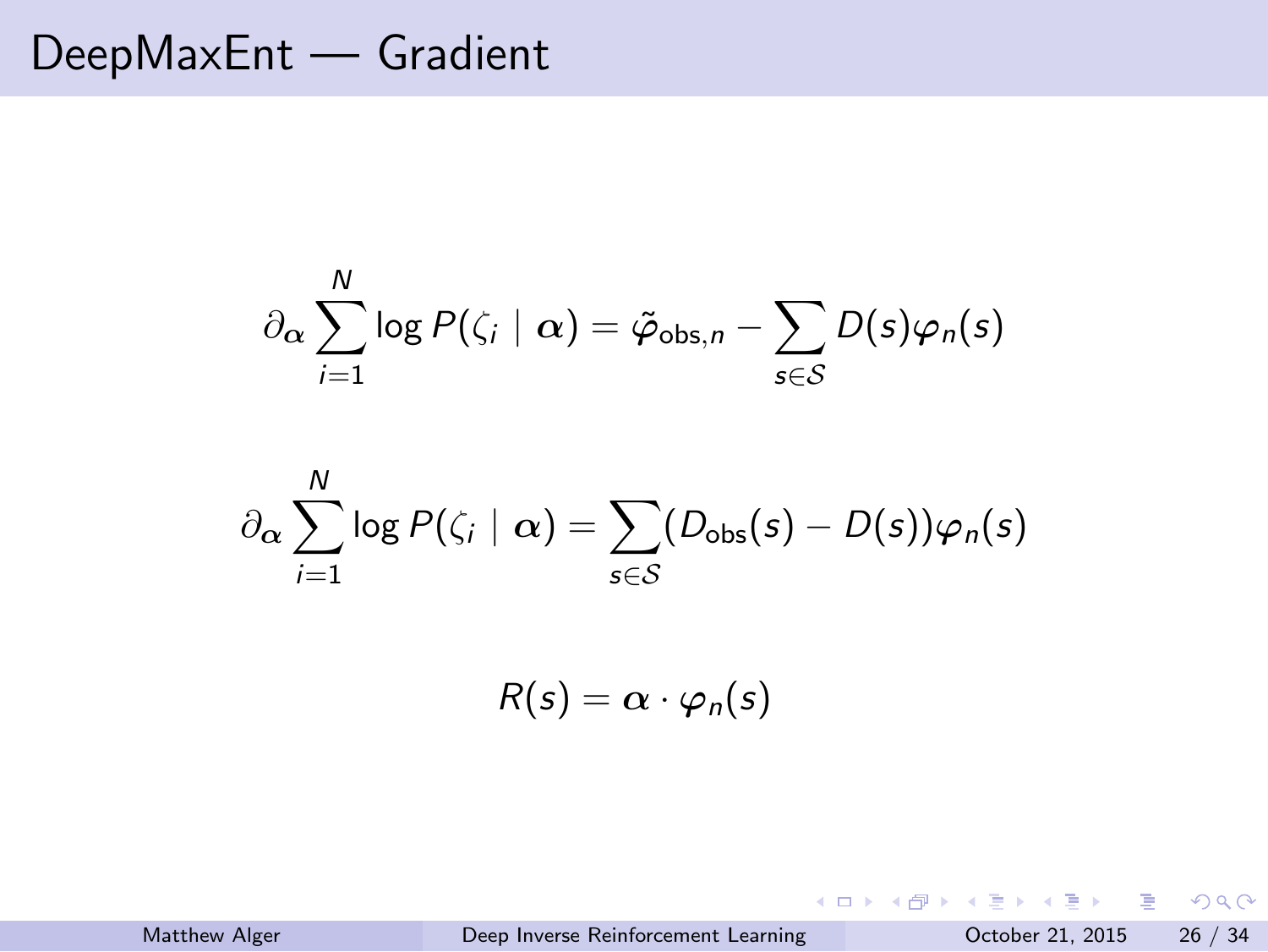$$
\partial_{\alpha} \sum_{i=1}^{N} \log P(\zeta_i \mid \alpha) = \tilde{\varphi}_{\text{obs},n} - \sum_{s \in \mathcal{S}} D(s) \varphi_n(s)
$$

$$
\partial_{\alpha} \sum_{i=1}^{N} \log P(\zeta_i \mid \alpha) = \sum_{s \in \mathcal{S}} (D_{\text{obs}}(s) - D(s)) \varphi_n(s)
$$

$$
R(s) = \alpha \cdot \varphi_n(s)
$$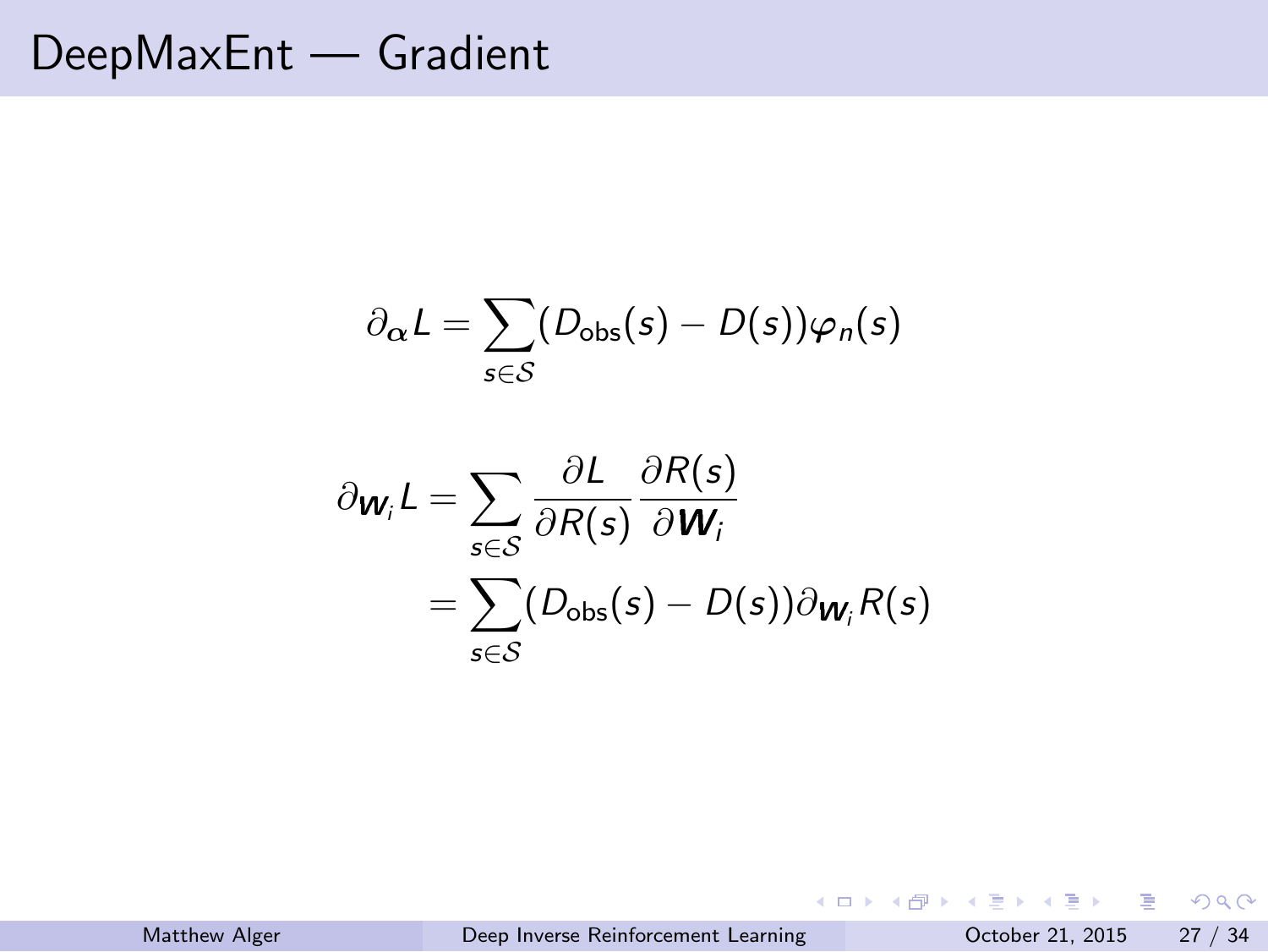$$
\partial_{\alpha}L = \sum_{s \in \mathcal{S}} (D_{\text{obs}}(s) - D(s))\varphi_{n}(s)
$$

$$
\partial_{\mathbf{W}_{i}}L = \sum_{s \in \mathcal{S}} \frac{\partial L}{\partial R(s)} \frac{\partial R(s)}{\partial \mathbf{W}_{i}}
$$

$$
= \sum_{s \in \mathcal{S}} (D_{\text{obs}}(s) - D(s)) \partial_{\mathbf{W}_{i}} R(s)
$$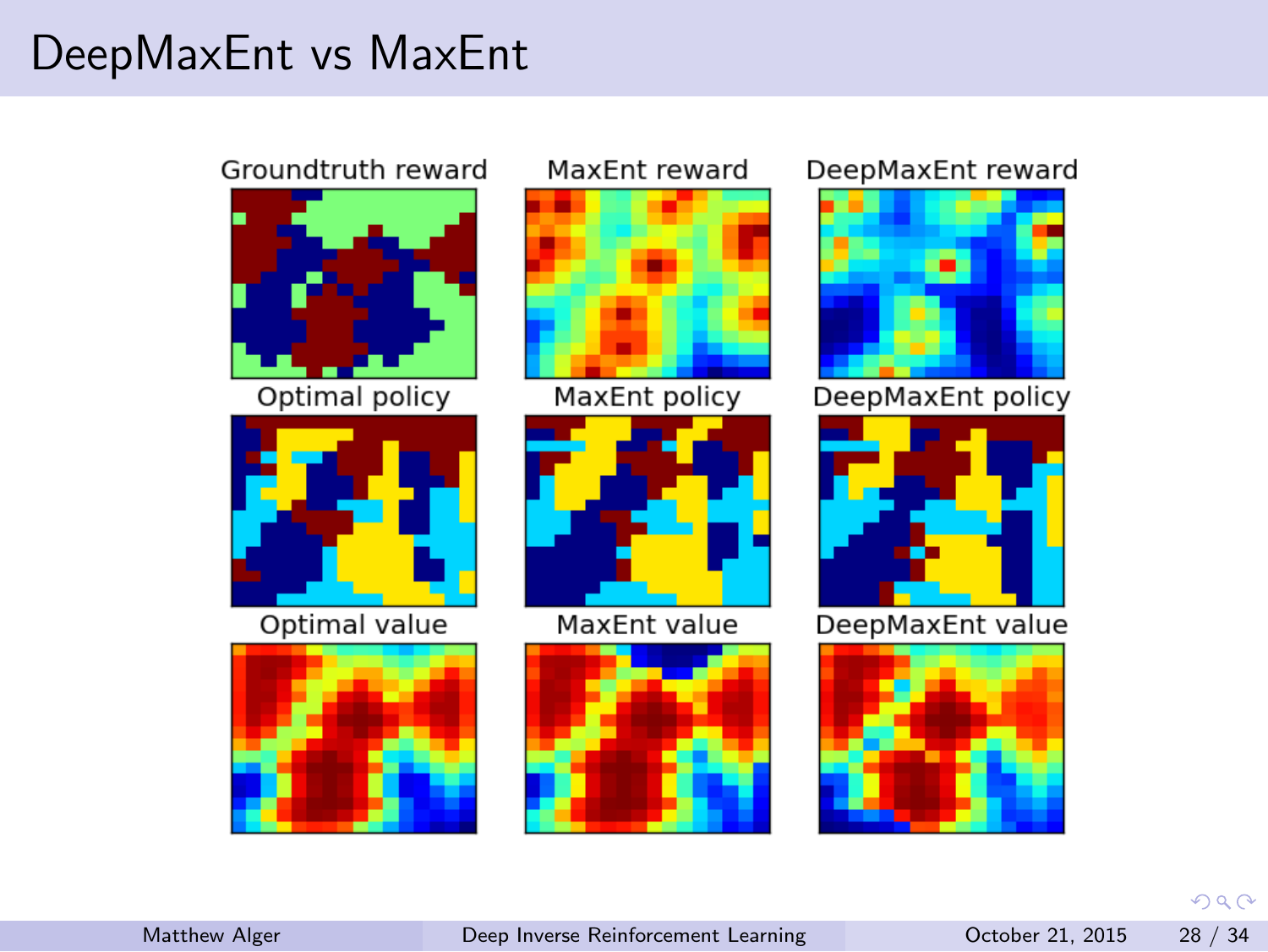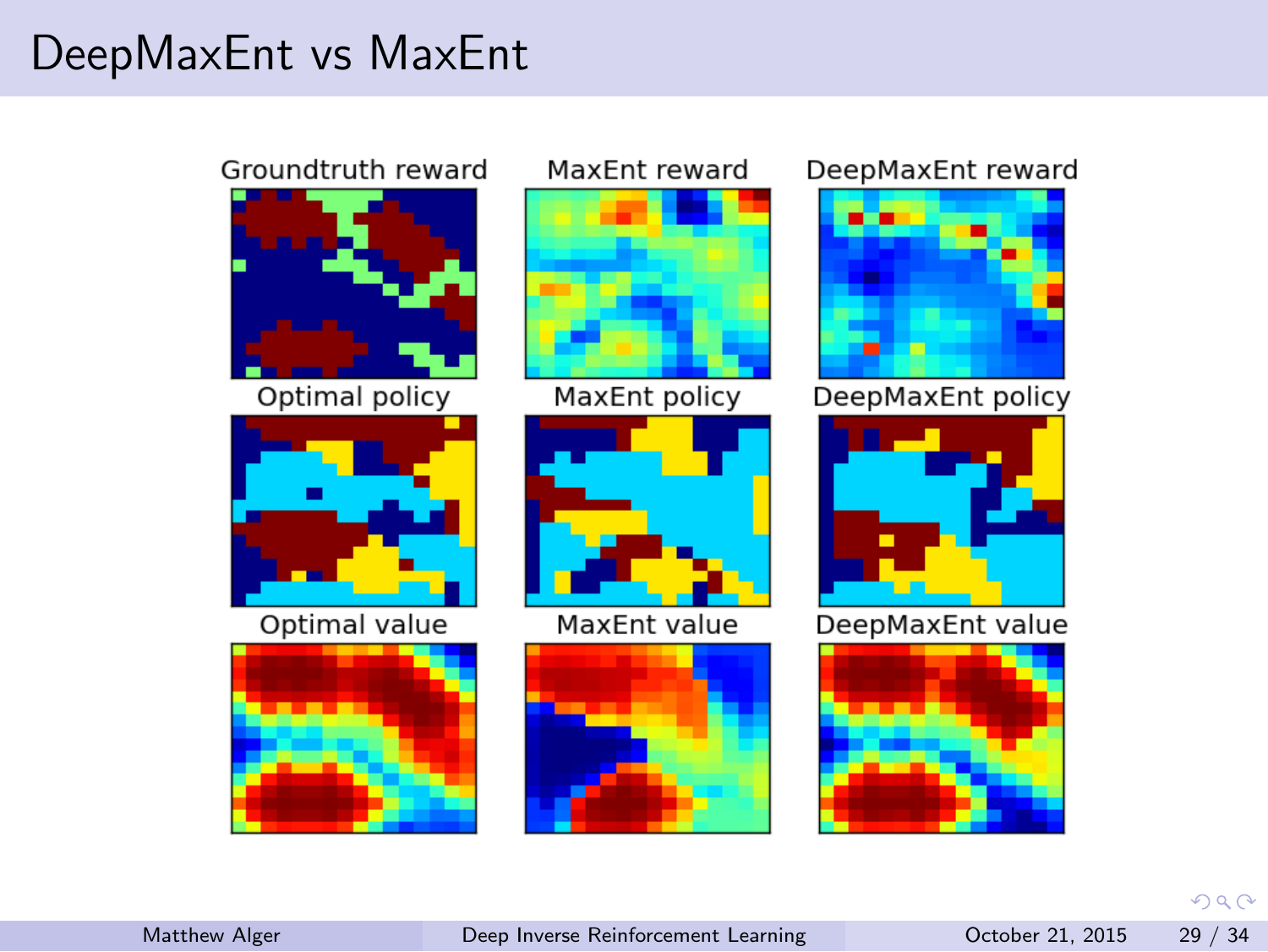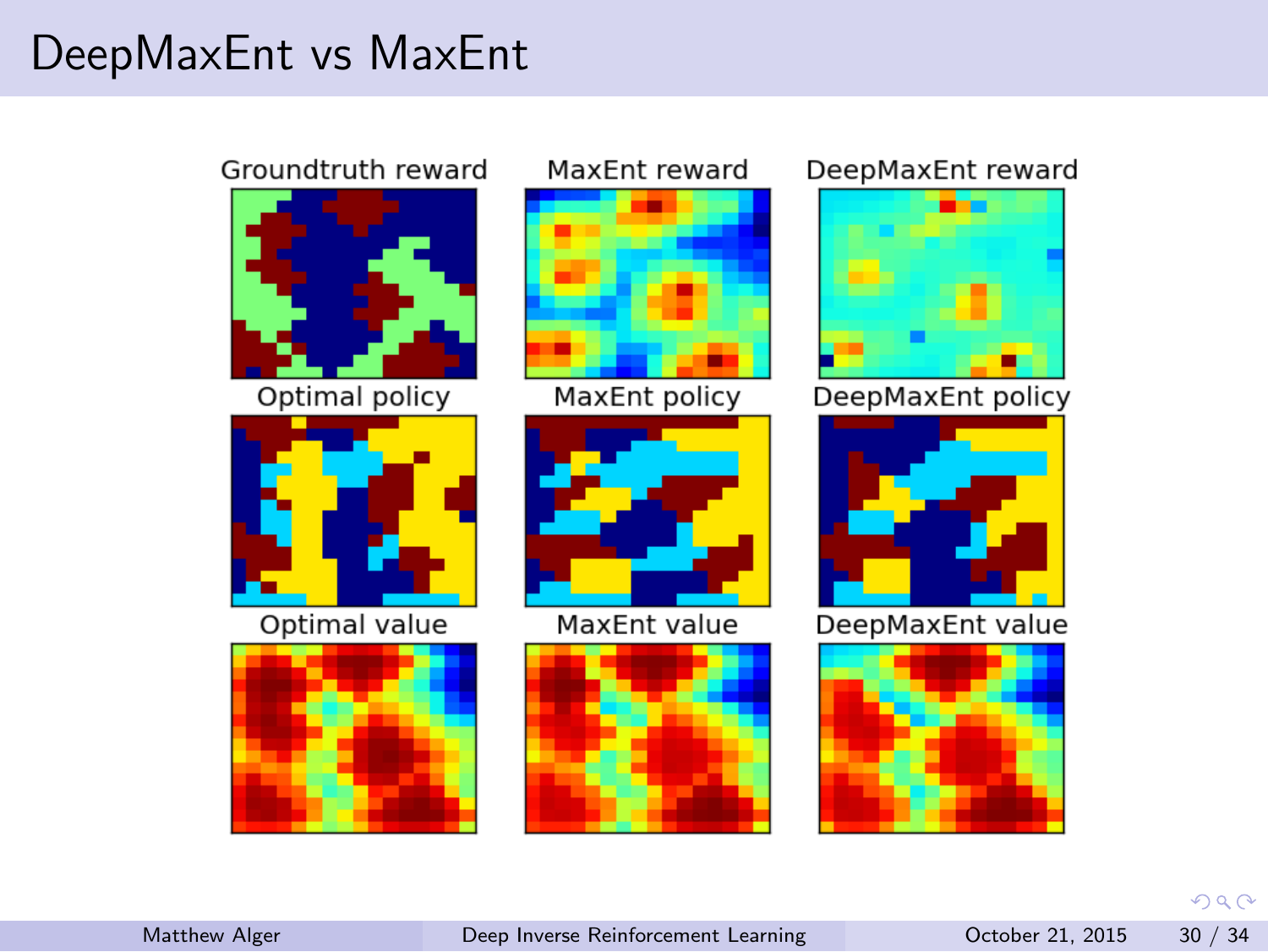

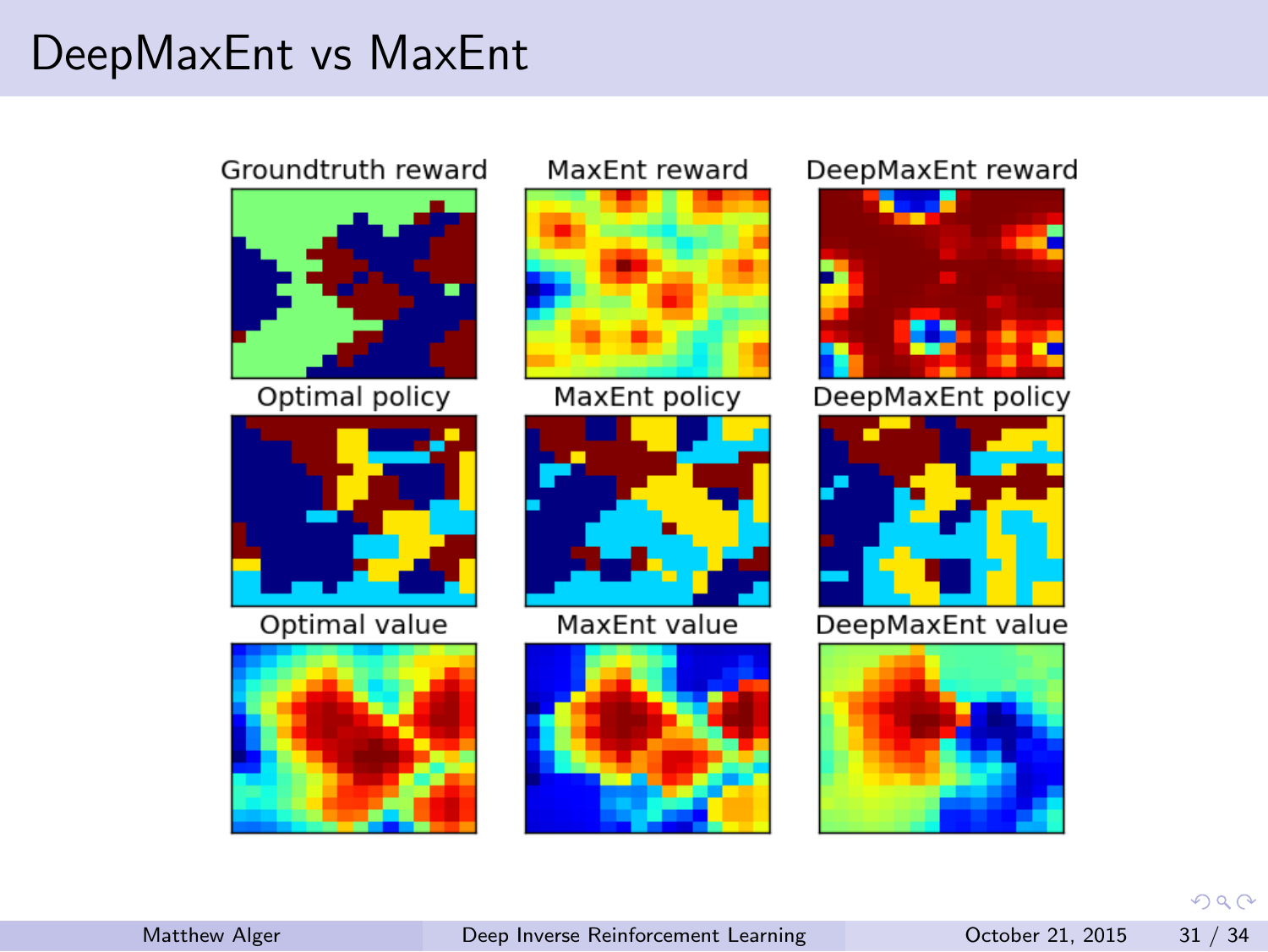

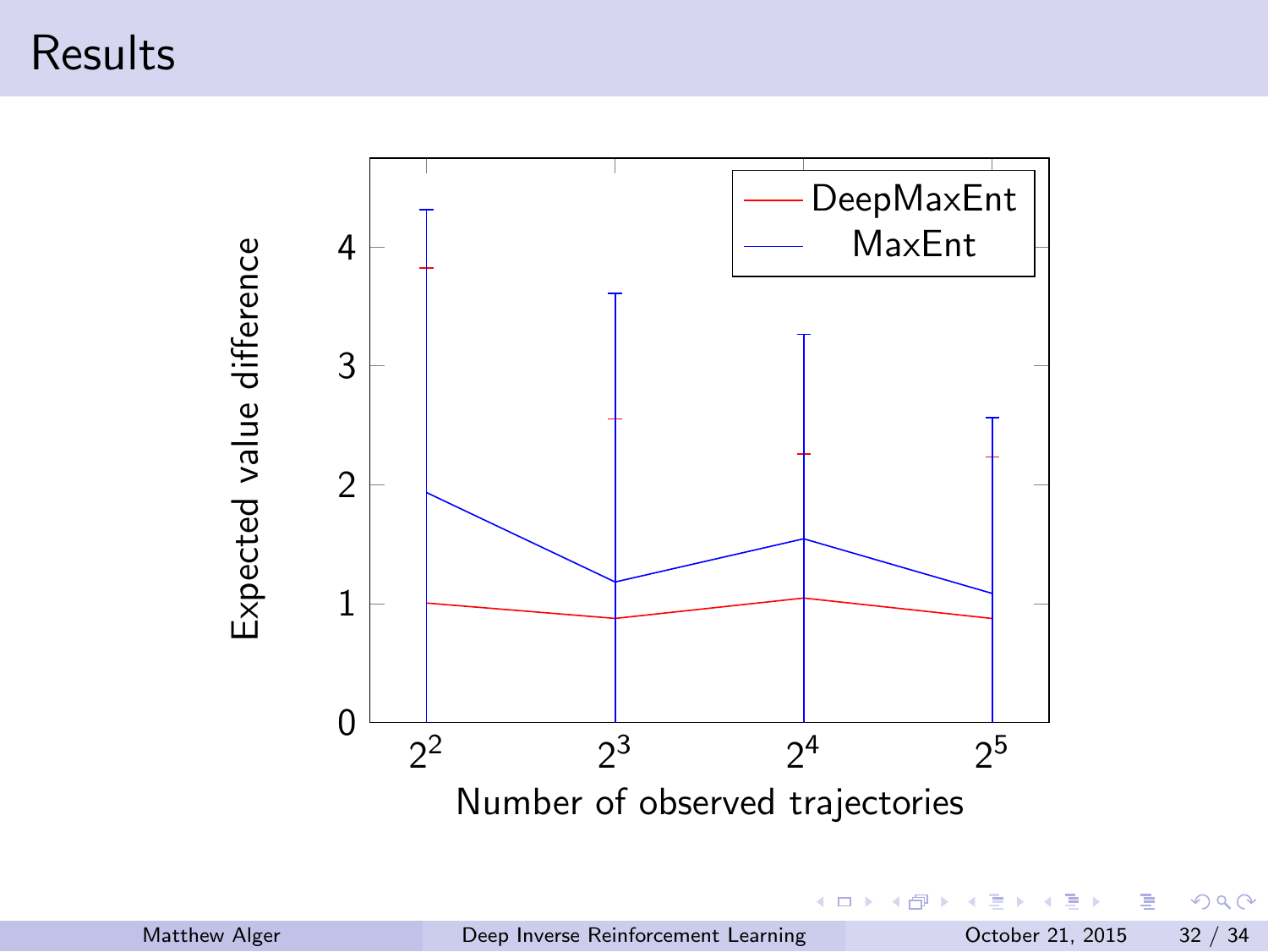# Results



|               |                                     |  | 그 지수는 어떻게 되어 있는 것이 없는 것이 없어요. 이 사람들은 어떻게 되어 있다. |  |
|---------------|-------------------------------------|--|-------------------------------------------------|--|
| Matthew Alger | Deep Inverse Reinforcement Learning |  | October 21, 2015 32 / 34                        |  |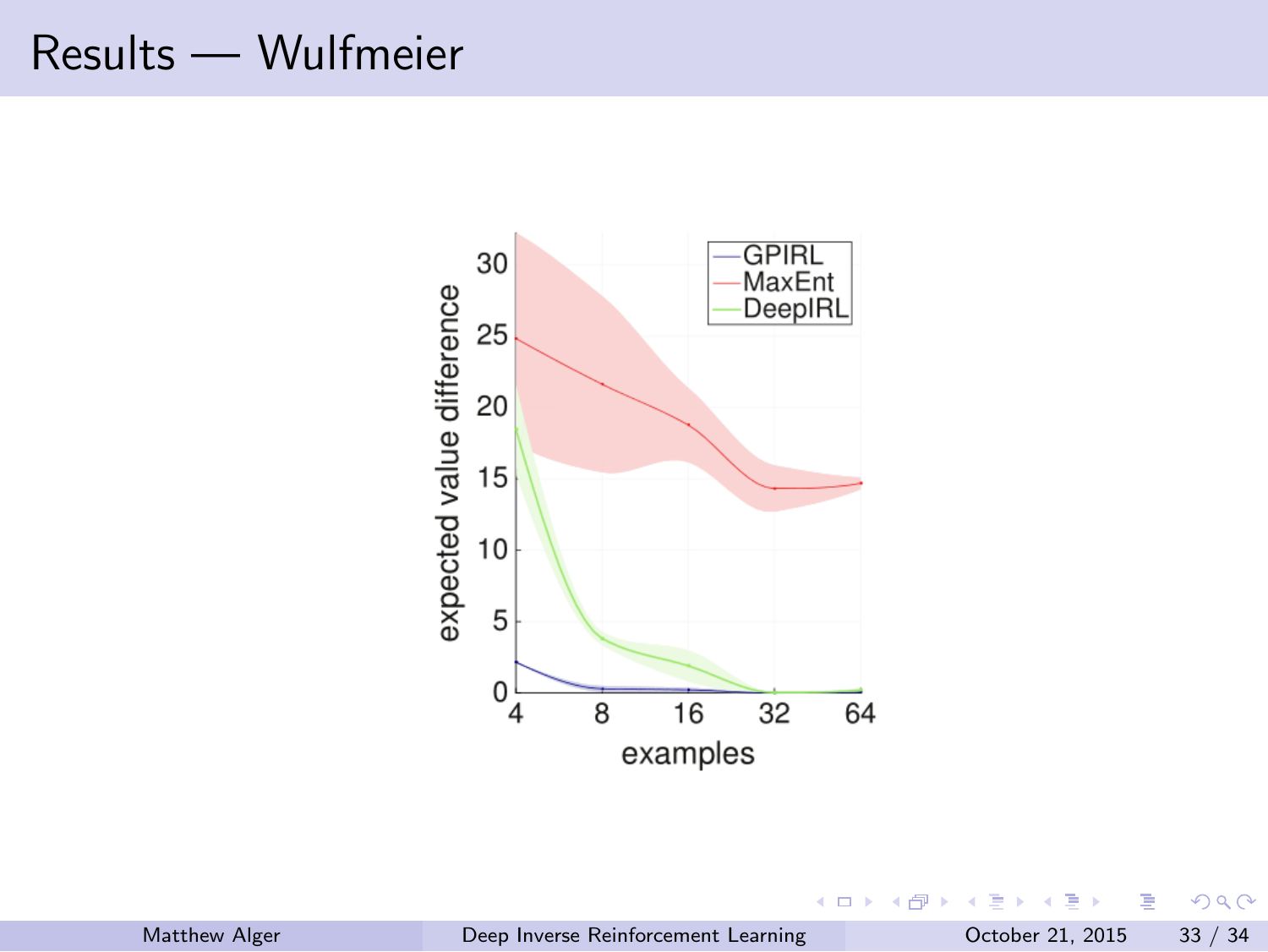# Results — Wulfmeier